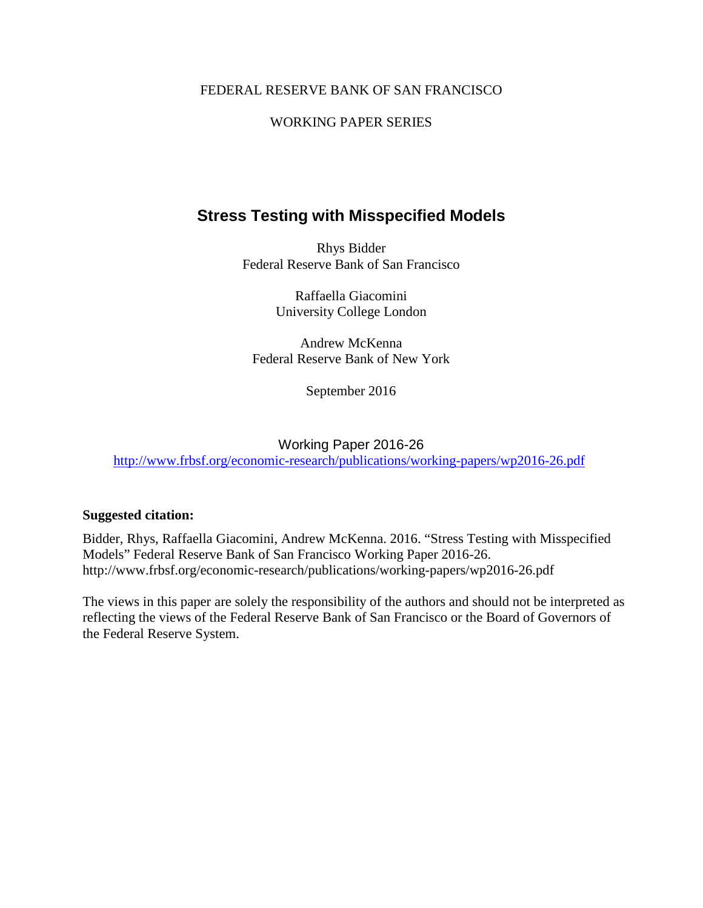# FEDERAL RESERVE BANK OF SAN FRANCISCO

# WORKING PAPER SERIES

# **Stress Testing with Misspecified Models**

Rhys Bidder Federal Reserve Bank of San Francisco

> Raffaella Giacomini University College London

Andrew McKenna Federal Reserve Bank of New York

September 2016

# Working Paper 2016-26

http://www.frbsf.org/economic-research/publications/working-papers/wp2016-26.pdf

#### **Suggested citation:**

Bidder, Rhys, Raffaella Giacomini, Andrew McKenna. 2016. "Stress Testing with Misspecified Models" Federal Reserve Bank of San Francisco Working Paper 2016-26. http://www.frbsf.org/economic-research/publications/working-papers/wp2016-26.pdf

The views in this paper are solely the responsibility of the authors and should not be interpreted as reflecting the views of the Federal Reserve Bank of San Francisco or the Board of Governors of the Federal Reserve System.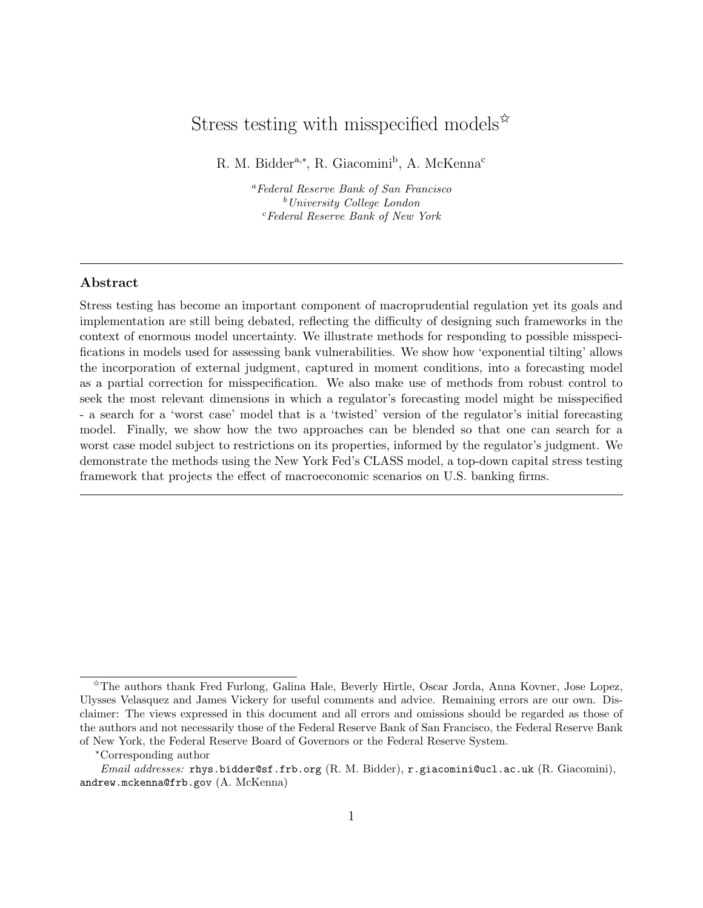# Stress testing with misspecified models $\hat{\mathbf{x}}$

R. M. Bidder<sup>a,\*</sup>, R. Giacomini<sup>b</sup>, A. McKenna<sup>c</sup>

<sup>a</sup>Federal Reserve Bank of San Francisco <sup>b</sup>University College London <sup>c</sup>Federal Reserve Bank of New York

#### Abstract

Stress testing has become an important component of macroprudential regulation yet its goals and implementation are still being debated, reflecting the difficulty of designing such frameworks in the context of enormous model uncertainty. We illustrate methods for responding to possible misspecifications in models used for assessing bank vulnerabilities. We show how 'exponential tilting' allows the incorporation of external judgment, captured in moment conditions, into a forecasting model as a partial correction for misspecification. We also make use of methods from robust control to seek the most relevant dimensions in which a regulator's forecasting model might be misspecified - a search for a 'worst case' model that is a 'twisted' version of the regulator's initial forecasting model. Finally, we show how the two approaches can be blended so that one can search for a worst case model subject to restrictions on its properties, informed by the regulator's judgment. We demonstrate the methods using the New York Fed's CLASS model, a top-down capital stress testing framework that projects the effect of macroeconomic scenarios on U.S. banking firms.

<sup>✩</sup>The authors thank Fred Furlong, Galina Hale, Beverly Hirtle, Oscar Jorda, Anna Kovner, Jose Lopez, Ulysses Velasquez and James Vickery for useful comments and advice. Remaining errors are our own. Disclaimer: The views expressed in this document and all errors and omissions should be regarded as those of the authors and not necessarily those of the Federal Reserve Bank of San Francisco, the Federal Reserve Bank of New York, the Federal Reserve Board of Governors or the Federal Reserve System.

<sup>∗</sup>Corresponding author

*Email addresses:* rhys.bidder@sf.frb.org (R. M. Bidder), r.giacomini@ucl.ac.uk (R. Giacomini), andrew.mckenna@frb.gov (A. McKenna)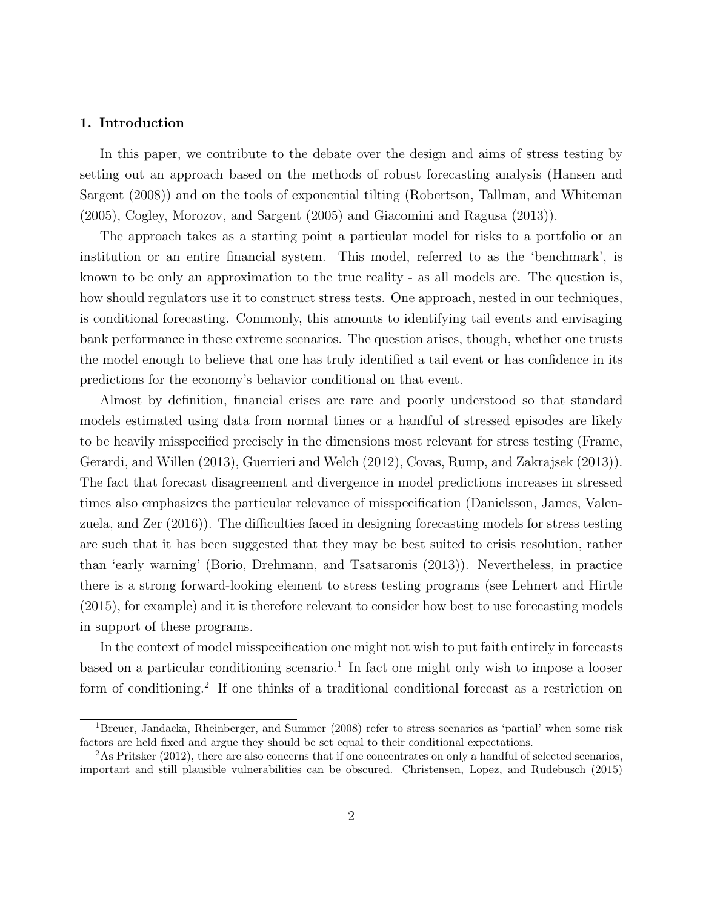#### 1. Introduction

In this paper, we contribute to the debate over the design and aims of stress testing by setting out an approach based on the methods of robust forecasting analysis (Hansen and Sargent (2008)) and on the tools of exponential tilting (Robertson, Tallman, and Whiteman (2005), Cogley, Morozov, and Sargent (2005) and Giacomini and Ragusa (2013)).

The approach takes as a starting point a particular model for risks to a portfolio or an institution or an entire financial system. This model, referred to as the 'benchmark', is known to be only an approximation to the true reality - as all models are. The question is, how should regulators use it to construct stress tests. One approach, nested in our techniques, is conditional forecasting. Commonly, this amounts to identifying tail events and envisaging bank performance in these extreme scenarios. The question arises, though, whether one trusts the model enough to believe that one has truly identified a tail event or has confidence in its predictions for the economy's behavior conditional on that event.

Almost by definition, financial crises are rare and poorly understood so that standard models estimated using data from normal times or a handful of stressed episodes are likely to be heavily misspecified precisely in the dimensions most relevant for stress testing (Frame, Gerardi, and Willen (2013), Guerrieri and Welch (2012), Covas, Rump, and Zakrajsek (2013)). The fact that forecast disagreement and divergence in model predictions increases in stressed times also emphasizes the particular relevance of misspecification (Danielsson, James, Valenzuela, and Zer (2016)). The difficulties faced in designing forecasting models for stress testing are such that it has been suggested that they may be best suited to crisis resolution, rather than 'early warning' (Borio, Drehmann, and Tsatsaronis (2013)). Nevertheless, in practice there is a strong forward-looking element to stress testing programs (see Lehnert and Hirtle (2015), for example) and it is therefore relevant to consider how best to use forecasting models in support of these programs.

In the context of model misspecification one might not wish to put faith entirely in forecasts based on a particular conditioning scenario.<sup>1</sup> In fact one might only wish to impose a looser form of conditioning.<sup>2</sup> If one thinks of a traditional conditional forecast as a restriction on

<sup>1</sup>Breuer, Jandacka, Rheinberger, and Summer (2008) refer to stress scenarios as 'partial' when some risk factors are held fixed and argue they should be set equal to their conditional expectations.

<sup>&</sup>lt;sup>2</sup>As Pritsker (2012), there are also concerns that if one concentrates on only a handful of selected scenarios, important and still plausible vulnerabilities can be obscured. Christensen, Lopez, and Rudebusch (2015)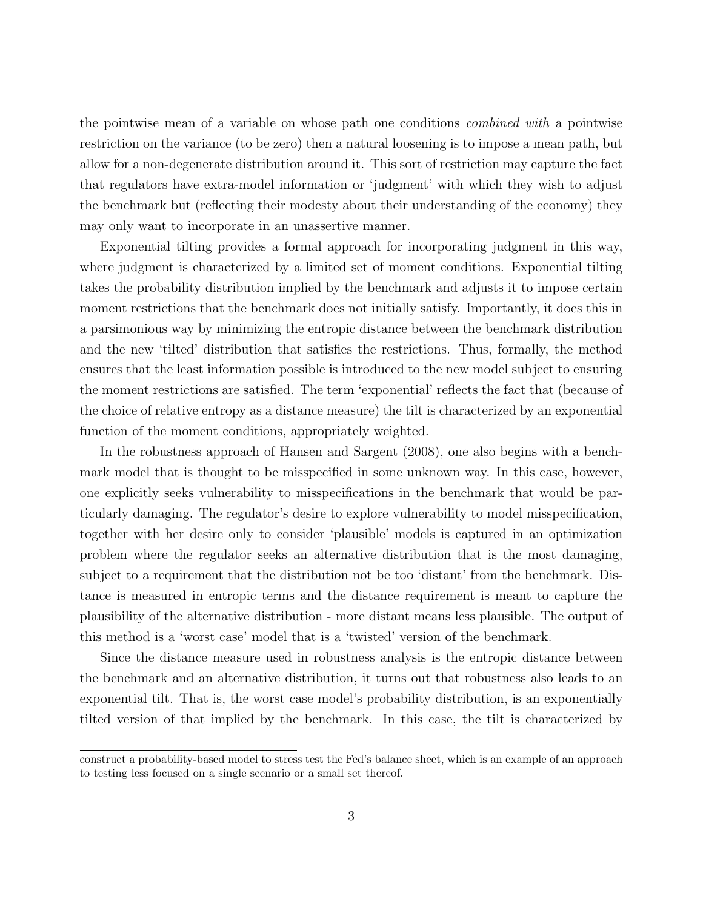the pointwise mean of a variable on whose path one conditions combined with a pointwise restriction on the variance (to be zero) then a natural loosening is to impose a mean path, but allow for a non-degenerate distribution around it. This sort of restriction may capture the fact that regulators have extra-model information or 'judgment' with which they wish to adjust the benchmark but (reflecting their modesty about their understanding of the economy) they may only want to incorporate in an unassertive manner.

Exponential tilting provides a formal approach for incorporating judgment in this way, where judgment is characterized by a limited set of moment conditions. Exponential tilting takes the probability distribution implied by the benchmark and adjusts it to impose certain moment restrictions that the benchmark does not initially satisfy. Importantly, it does this in a parsimonious way by minimizing the entropic distance between the benchmark distribution and the new 'tilted' distribution that satisfies the restrictions. Thus, formally, the method ensures that the least information possible is introduced to the new model subject to ensuring the moment restrictions are satisfied. The term 'exponential' reflects the fact that (because of the choice of relative entropy as a distance measure) the tilt is characterized by an exponential function of the moment conditions, appropriately weighted.

In the robustness approach of Hansen and Sargent (2008), one also begins with a benchmark model that is thought to be misspecified in some unknown way. In this case, however, one explicitly seeks vulnerability to misspecifications in the benchmark that would be particularly damaging. The regulator's desire to explore vulnerability to model misspecification, together with her desire only to consider 'plausible' models is captured in an optimization problem where the regulator seeks an alternative distribution that is the most damaging, subject to a requirement that the distribution not be too 'distant' from the benchmark. Distance is measured in entropic terms and the distance requirement is meant to capture the plausibility of the alternative distribution - more distant means less plausible. The output of this method is a 'worst case' model that is a 'twisted' version of the benchmark.

Since the distance measure used in robustness analysis is the entropic distance between the benchmark and an alternative distribution, it turns out that robustness also leads to an exponential tilt. That is, the worst case model's probability distribution, is an exponentially tilted version of that implied by the benchmark. In this case, the tilt is characterized by

construct a probability-based model to stress test the Fed's balance sheet, which is an example of an approach to testing less focused on a single scenario or a small set thereof.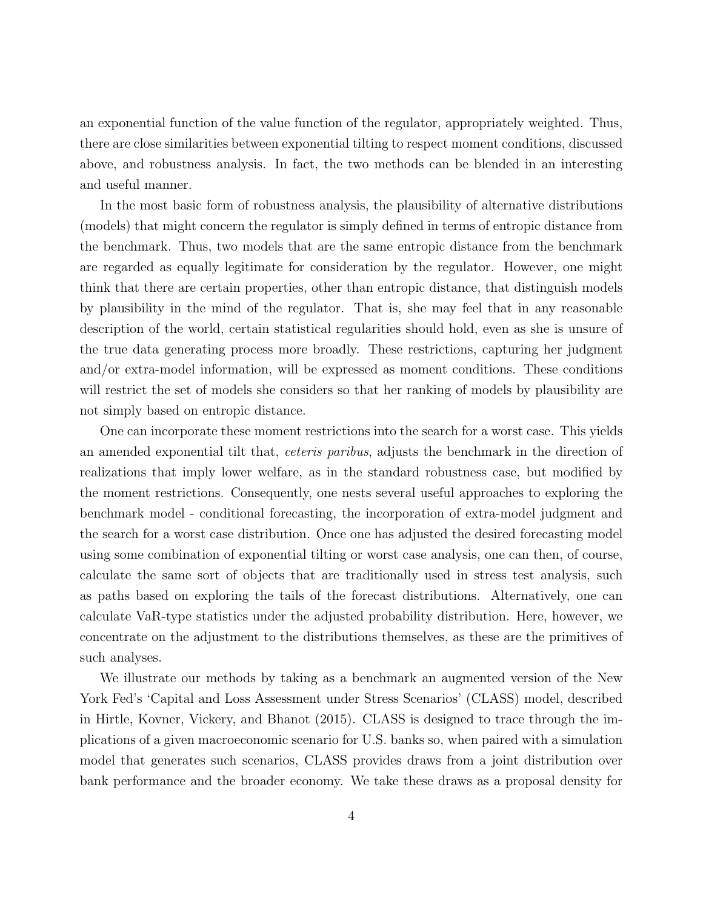an exponential function of the value function of the regulator, appropriately weighted. Thus, there are close similarities between exponential tilting to respect moment conditions, discussed above, and robustness analysis. In fact, the two methods can be blended in an interesting and useful manner.

In the most basic form of robustness analysis, the plausibility of alternative distributions (models) that might concern the regulator is simply defined in terms of entropic distance from the benchmark. Thus, two models that are the same entropic distance from the benchmark are regarded as equally legitimate for consideration by the regulator. However, one might think that there are certain properties, other than entropic distance, that distinguish models by plausibility in the mind of the regulator. That is, she may feel that in any reasonable description of the world, certain statistical regularities should hold, even as she is unsure of the true data generating process more broadly. These restrictions, capturing her judgment and/or extra-model information, will be expressed as moment conditions. These conditions will restrict the set of models she considers so that her ranking of models by plausibility are not simply based on entropic distance.

One can incorporate these moment restrictions into the search for a worst case. This yields an amended exponential tilt that, *ceteris paribus*, adjusts the benchmark in the direction of realizations that imply lower welfare, as in the standard robustness case, but modified by the moment restrictions. Consequently, one nests several useful approaches to exploring the benchmark model - conditional forecasting, the incorporation of extra-model judgment and the search for a worst case distribution. Once one has adjusted the desired forecasting model using some combination of exponential tilting or worst case analysis, one can then, of course, calculate the same sort of objects that are traditionally used in stress test analysis, such as paths based on exploring the tails of the forecast distributions. Alternatively, one can calculate VaR-type statistics under the adjusted probability distribution. Here, however, we concentrate on the adjustment to the distributions themselves, as these are the primitives of such analyses.

We illustrate our methods by taking as a benchmark an augmented version of the New York Fed's 'Capital and Loss Assessment under Stress Scenarios' (CLASS) model, described in Hirtle, Kovner, Vickery, and Bhanot (2015). CLASS is designed to trace through the implications of a given macroeconomic scenario for U.S. banks so, when paired with a simulation model that generates such scenarios, CLASS provides draws from a joint distribution over bank performance and the broader economy. We take these draws as a proposal density for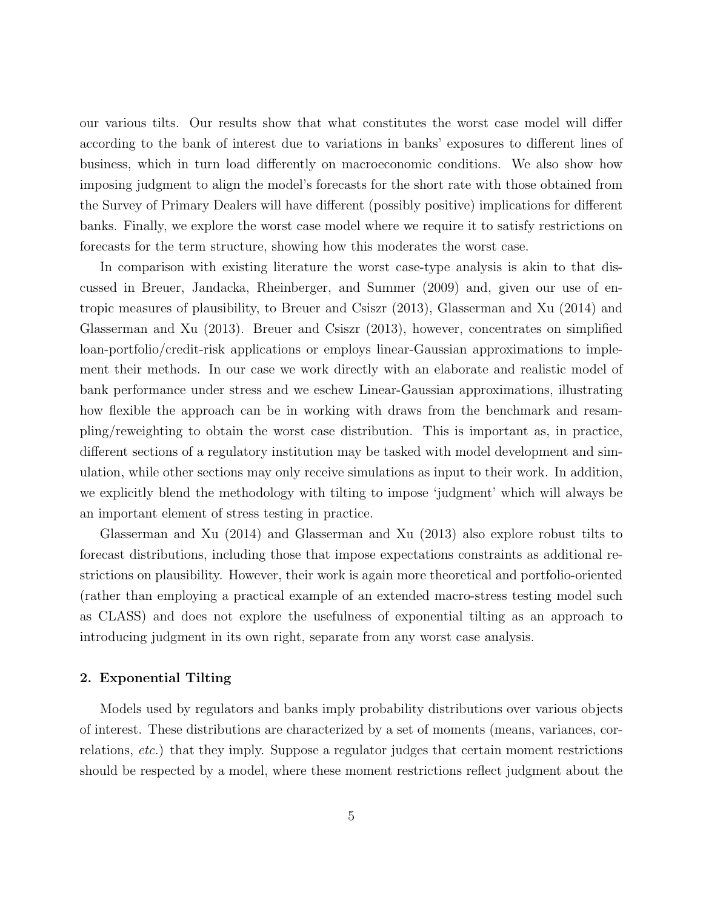our various tilts. Our results show that what constitutes the worst case model will differ according to the bank of interest due to variations in banks' exposures to different lines of business, which in turn load differently on macroeconomic conditions. We also show how imposing judgment to align the model's forecasts for the short rate with those obtained from the Survey of Primary Dealers will have different (possibly positive) implications for different banks. Finally, we explore the worst case model where we require it to satisfy restrictions on forecasts for the term structure, showing how this moderates the worst case.

In comparison with existing literature the worst case-type analysis is akin to that discussed in Breuer, Jandacka, Rheinberger, and Summer (2009) and, given our use of entropic measures of plausibility, to Breuer and Csiszr (2013), Glasserman and Xu (2014) and Glasserman and Xu (2013). Breuer and Csiszr (2013), however, concentrates on simplified loan-portfolio/credit-risk applications or employs linear-Gaussian approximations to implement their methods. In our case we work directly with an elaborate and realistic model of bank performance under stress and we eschew Linear-Gaussian approximations, illustrating how flexible the approach can be in working with draws from the benchmark and resampling/reweighting to obtain the worst case distribution. This is important as, in practice, different sections of a regulatory institution may be tasked with model development and simulation, while other sections may only receive simulations as input to their work. In addition, we explicitly blend the methodology with tilting to impose 'judgment' which will always be an important element of stress testing in practice.

Glasserman and Xu (2014) and Glasserman and Xu (2013) also explore robust tilts to forecast distributions, including those that impose expectations constraints as additional restrictions on plausibility. However, their work is again more theoretical and portfolio-oriented (rather than employing a practical example of an extended macro-stress testing model such as CLASS) and does not explore the usefulness of exponential tilting as an approach to introducing judgment in its own right, separate from any worst case analysis.

#### 2. Exponential Tilting

Models used by regulators and banks imply probability distributions over various objects of interest. These distributions are characterized by a set of moments (means, variances, correlations, etc.) that they imply. Suppose a regulator judges that certain moment restrictions should be respected by a model, where these moment restrictions reflect judgment about the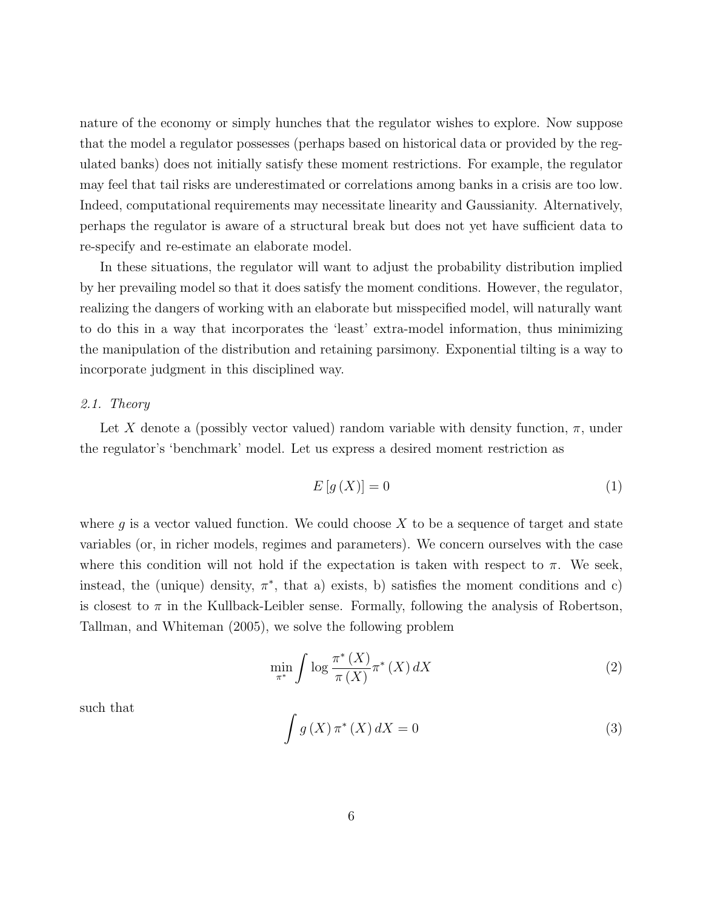nature of the economy or simply hunches that the regulator wishes to explore. Now suppose that the model a regulator possesses (perhaps based on historical data or provided by the regulated banks) does not initially satisfy these moment restrictions. For example, the regulator may feel that tail risks are underestimated or correlations among banks in a crisis are too low. Indeed, computational requirements may necessitate linearity and Gaussianity. Alternatively, perhaps the regulator is aware of a structural break but does not yet have sufficient data to re-specify and re-estimate an elaborate model.

In these situations, the regulator will want to adjust the probability distribution implied by her prevailing model so that it does satisfy the moment conditions. However, the regulator, realizing the dangers of working with an elaborate but misspecified model, will naturally want to do this in a way that incorporates the 'least' extra-model information, thus minimizing the manipulation of the distribution and retaining parsimony. Exponential tilting is a way to incorporate judgment in this disciplined way.

#### 2.1. Theory

Let X denote a (possibly vector valued) random variable with density function,  $\pi$ , under the regulator's 'benchmark' model. Let us express a desired moment restriction as

$$
E\left[g\left(X\right)\right] = 0\tag{1}
$$

where g is a vector valued function. We could choose  $X$  to be a sequence of target and state variables (or, in richer models, regimes and parameters). We concern ourselves with the case where this condition will not hold if the expectation is taken with respect to  $\pi$ . We seek, instead, the (unique) density,  $\pi^*$ , that a) exists, b) satisfies the moment conditions and c) is closest to  $\pi$  in the Kullback-Leibler sense. Formally, following the analysis of Robertson, Tallman, and Whiteman (2005), we solve the following problem

$$
\min_{\pi^*} \int \log \frac{\pi^* (X)}{\pi (X)} \pi^* (X) dX \tag{2}
$$

such that

$$
\int g(X)\,\pi^*(X)\,dX = 0\tag{3}
$$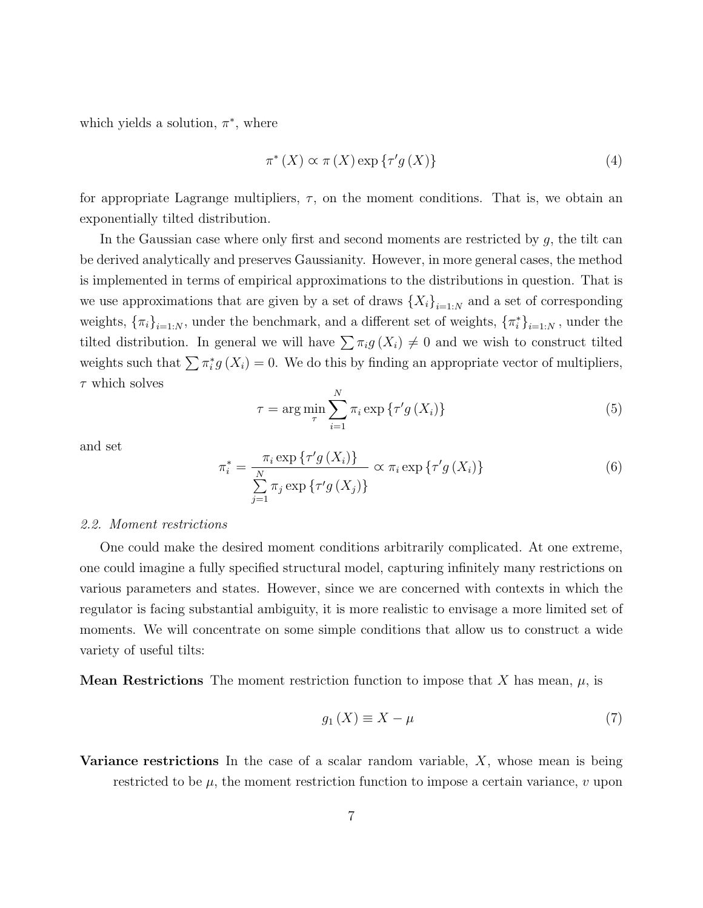which yields a solution,  $\pi^*$ , where

$$
\pi^*(X) \propto \pi(X) \exp\left\{\tau'g(X)\right\} \tag{4}
$$

for appropriate Lagrange multipliers,  $\tau$ , on the moment conditions. That is, we obtain an exponentially tilted distribution.

In the Gaussian case where only first and second moments are restricted by  $q$ , the tilt can be derived analytically and preserves Gaussianity. However, in more general cases, the method is implemented in terms of empirical approximations to the distributions in question. That is we use approximations that are given by a set of draws  ${X_i}_{i=1:N}$  and a set of corresponding weights,  $\{\pi_i\}_{i=1:N}$ , under the benchmark, and a different set of weights,  $\{\pi_i^*\}_{i=1:N}$ , under the tilted distribution. In general we will have  $\sum \pi_i g(X_i) \neq 0$  and we wish to construct tilted weights such that  $\sum \pi_i^* g(X_i) = 0$ . We do this by finding an appropriate vector of multipliers,  $\tau$  which solves

$$
\tau = \arg\min_{\tau} \sum_{i=1}^{N} \pi_i \exp\left\{\tau' g\left(X_i\right)\right\} \tag{5}
$$

and set

$$
\pi_{i}^{*} = \frac{\pi_{i} \exp \{ \tau' g\left(X_{i}\right) \}}{\sum_{j=1}^{N} \pi_{j} \exp \{ \tau' g\left(X_{j}\right) \}} \propto \pi_{i} \exp \{ \tau' g\left(X_{i}\right) \}
$$
\n
$$
(6)
$$

#### 2.2. Moment restrictions

One could make the desired moment conditions arbitrarily complicated. At one extreme, one could imagine a fully specified structural model, capturing infinitely many restrictions on various parameters and states. However, since we are concerned with contexts in which the regulator is facing substantial ambiguity, it is more realistic to envisage a more limited set of moments. We will concentrate on some simple conditions that allow us to construct a wide variety of useful tilts:

**Mean Restrictions** The moment restriction function to impose that X has mean,  $\mu$ , is

$$
g_1(X) \equiv X - \mu \tag{7}
$$

**Variance restrictions** In the case of a scalar random variable,  $X$ , whose mean is being restricted to be  $\mu$ , the moment restriction function to impose a certain variance, v upon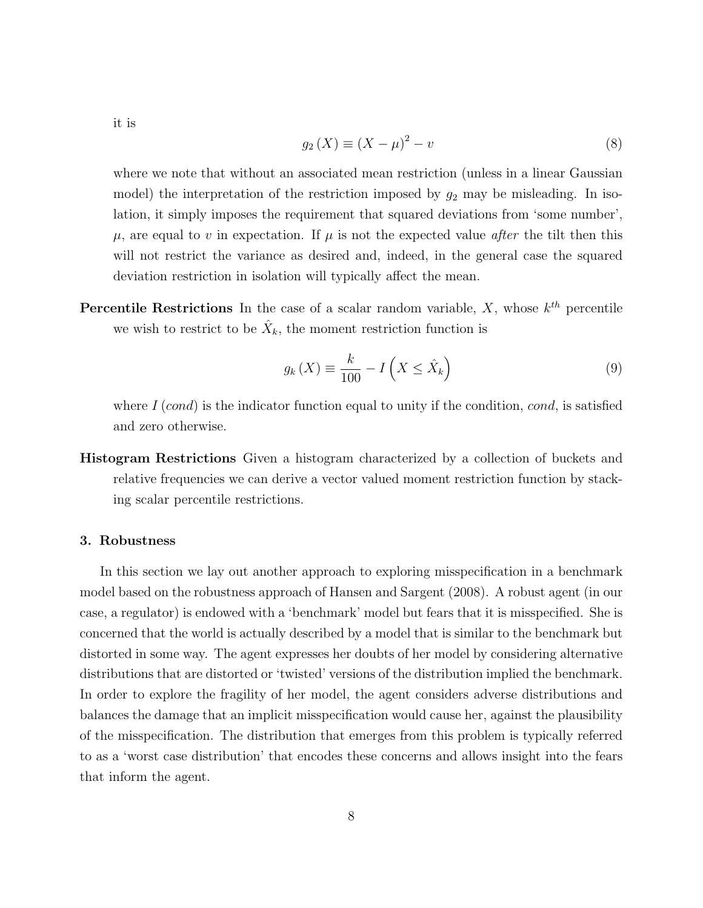it is

$$
g_2(X) \equiv (X - \mu)^2 - v \tag{8}
$$

where we note that without an associated mean restriction (unless in a linear Gaussian model) the interpretation of the restriction imposed by  $g_2$  may be misleading. In isolation, it simply imposes the requirement that squared deviations from 'some number',  $\mu$ , are equal to v in expectation. If  $\mu$  is not the expected value *after* the tilt then this will not restrict the variance as desired and, indeed, in the general case the squared deviation restriction in isolation will typically affect the mean.

**Percentile Restrictions** In the case of a scalar random variable,  $X$ , whose  $k^{th}$  percentile we wish to restrict to be  $\hat{X}_k$ , the moment restriction function is

$$
g_k(X) \equiv \frac{k}{100} - I\left(X \le \hat{X}_k\right) \tag{9}
$$

where  $I (cond)$  is the indicator function equal to unity if the condition, *cond*, is satisfied and zero otherwise.

Histogram Restrictions Given a histogram characterized by a collection of buckets and relative frequencies we can derive a vector valued moment restriction function by stacking scalar percentile restrictions.

#### 3. Robustness

In this section we lay out another approach to exploring misspecification in a benchmark model based on the robustness approach of Hansen and Sargent (2008). A robust agent (in our case, a regulator) is endowed with a 'benchmark' model but fears that it is misspecified. She is concerned that the world is actually described by a model that is similar to the benchmark but distorted in some way. The agent expresses her doubts of her model by considering alternative distributions that are distorted or 'twisted' versions of the distribution implied the benchmark. In order to explore the fragility of her model, the agent considers adverse distributions and balances the damage that an implicit misspecification would cause her, against the plausibility of the misspecification. The distribution that emerges from this problem is typically referred to as a 'worst case distribution' that encodes these concerns and allows insight into the fears that inform the agent.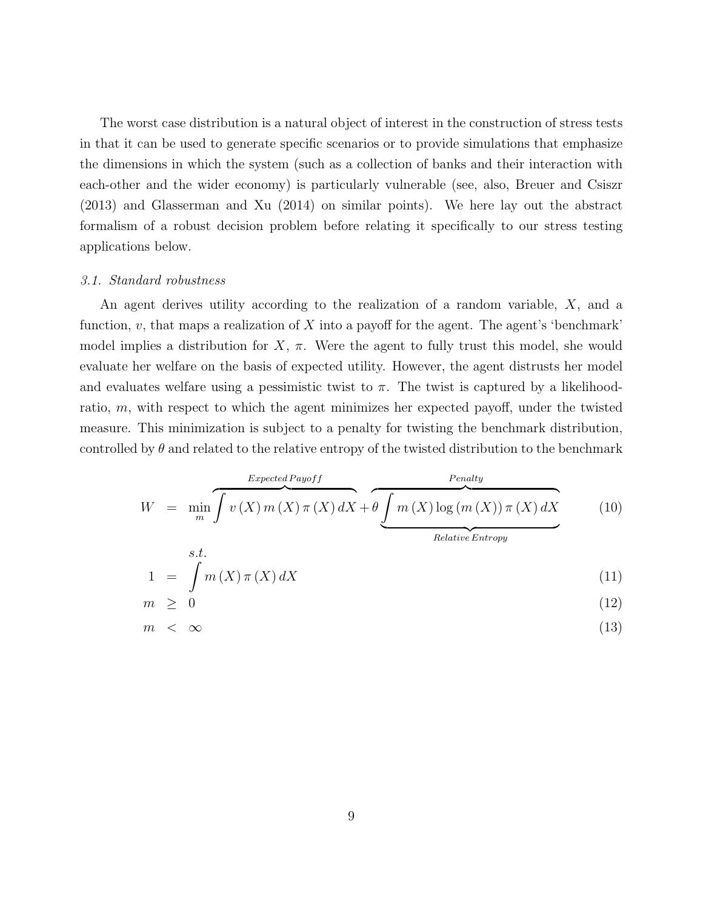The worst case distribution is a natural object of interest in the construction of stress tests in that it can be used to generate specific scenarios or to provide simulations that emphasize the dimensions in which the system (such as a collection of banks and their interaction with each-other and the wider economy) is particularly vulnerable (see, also, Breuer and Csiszr (2013) and Glasserman and Xu (2014) on similar points). We here lay out the abstract formalism of a robust decision problem before relating it specifically to our stress testing applications below.

#### 3.1. Standard robustness

An agent derives utility according to the realization of a random variable, X, and a function,  $v$ , that maps a realization of  $X$  into a payoff for the agent. The agent's 'benchmark' model implies a distribution for  $X$ ,  $\pi$ . Were the agent to fully trust this model, she would evaluate her welfare on the basis of expected utility. However, the agent distrusts her model and evaluates welfare using a pessimistic twist to  $\pi$ . The twist is captured by a likelihoodratio, m, with respect to which the agent minimizes her expected payoff, under the twisted measure. This minimization is subject to a penalty for twisting the benchmark distribution, controlled by  $\theta$  and related to the relative entropy of the twisted distribution to the benchmark

$$
W = \min_{m} \overbrace{\int v(X) m(X) \pi(X) dX}_{\text{Relative Entropy}} + \theta \underbrace{\int m(X) \log(m(X)) \pi(X) dX}_{\text{Relative Entropy}} \tag{10}
$$

$$
1 = \int m(X) \pi(X) dX \tag{11}
$$

$$
m \geq 0 \tag{12}
$$

$$
m < \infty \tag{13}
$$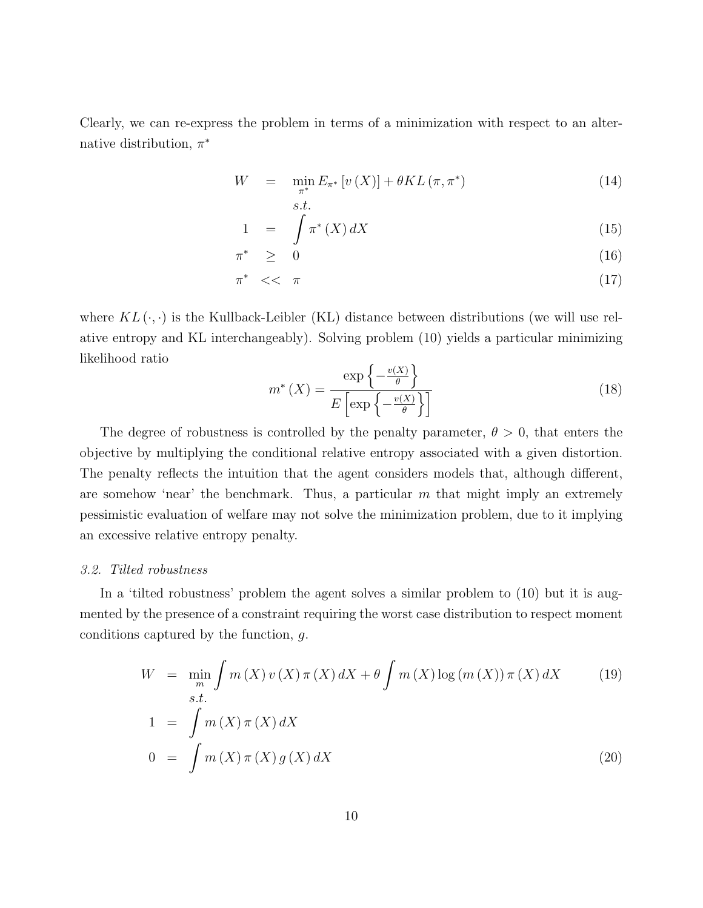Clearly, we can re-express the problem in terms of a minimization with respect to an alternative distribution,  $\pi^*$ 

$$
W = \min_{\pi^*} E_{\pi^*} \left[ v \left( X \right) \right] + \theta K L \left( \pi, \pi^* \right) \tag{14}
$$

$$
1 = \int_{-\pi}^{\pi} \pi^*(X) dX \tag{15}
$$

$$
\pi^* \quad \geq \quad 0 \tag{16}
$$

$$
\pi^* \prec \prec \pi \tag{17}
$$

where  $KL(\cdot, \cdot)$  is the Kullback-Leibler (KL) distance between distributions (we will use relative entropy and KL interchangeably). Solving problem (10) yields a particular minimizing likelihood ratio o

$$
m^*(X) = \frac{\exp\left\{-\frac{v(X)}{\theta}\right\}}{E\left[\exp\left\{-\frac{v(X)}{\theta}\right\}\right]}
$$
(18)

The degree of robustness is controlled by the penalty parameter,  $\theta > 0$ , that enters the objective by multiplying the conditional relative entropy associated with a given distortion. The penalty reflects the intuition that the agent considers models that, although different, are somehow 'near' the benchmark. Thus, a particular  $m$  that might imply an extremely pessimistic evaluation of welfare may not solve the minimization problem, due to it implying an excessive relative entropy penalty.

#### 3.2. Tilted robustness

In a 'tilted robustness' problem the agent solves a similar problem to (10) but it is augmented by the presence of a constraint requiring the worst case distribution to respect moment conditions captured by the function, g.

$$
W = \min_{m} \int m(X) v(X) \pi(X) dX + \theta \int m(X) \log(m(X)) \pi(X) dX
$$
\n
$$
1 = \int m(X) \pi(X) dX
$$
\n
$$
0 = \int m(X) \pi(X) g(X) dX
$$
\n(20)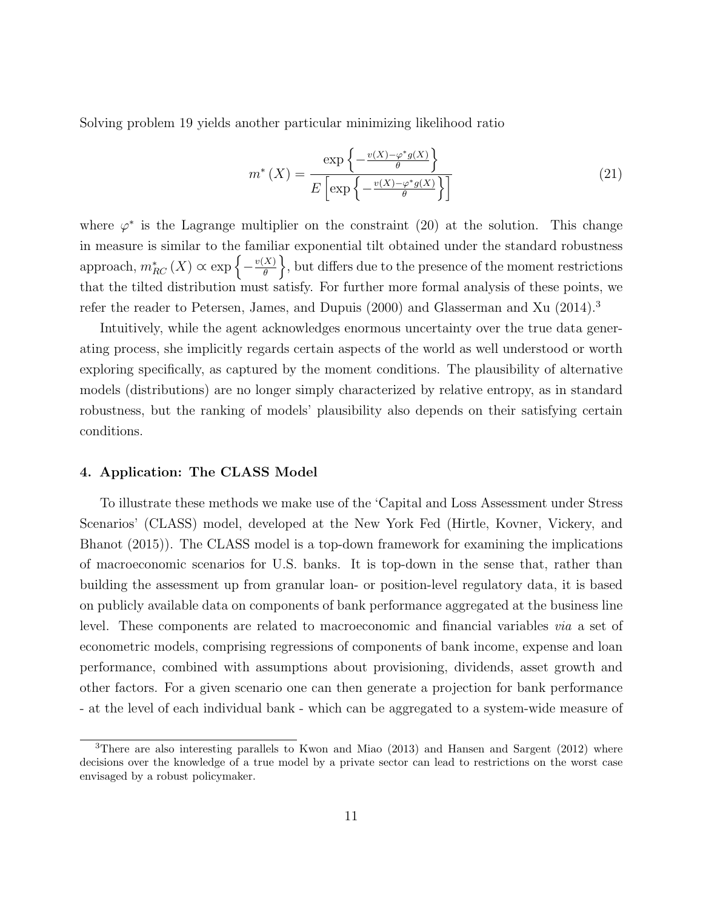Solving problem 19 yields another particular minimizing likelihood ratio

$$
m^*(X) = \frac{\exp\left\{-\frac{v(X) - \varphi^*g(X)}{\theta}\right\}}{E\left[\exp\left\{-\frac{v(X) - \varphi^*g(X)}{\theta}\right\}\right]}
$$
(21)

where  $\varphi^*$  is the Lagrange multiplier on the constraint (20) at the solution. This change in measure is similar to the familiar exponential tilt obtained under the standard robustness approach,  $m_{RC}^*(X) \propto \exp\left\{-\frac{v(X)}{\theta}\right\}$  $\left\{\frac{X}{\theta}\right\}$ , but differs due to the presence of the moment restrictions that the tilted distribution must satisfy. For further more formal analysis of these points, we refer the reader to Petersen, James, and Dupuis (2000) and Glasserman and Xu (2014).<sup>3</sup>

Intuitively, while the agent acknowledges enormous uncertainty over the true data generating process, she implicitly regards certain aspects of the world as well understood or worth exploring specifically, as captured by the moment conditions. The plausibility of alternative models (distributions) are no longer simply characterized by relative entropy, as in standard robustness, but the ranking of models' plausibility also depends on their satisfying certain conditions.

#### 4. Application: The CLASS Model

To illustrate these methods we make use of the 'Capital and Loss Assessment under Stress Scenarios' (CLASS) model, developed at the New York Fed (Hirtle, Kovner, Vickery, and Bhanot (2015)). The CLASS model is a top-down framework for examining the implications of macroeconomic scenarios for U.S. banks. It is top-down in the sense that, rather than building the assessment up from granular loan- or position-level regulatory data, it is based on publicly available data on components of bank performance aggregated at the business line level. These components are related to macroeconomic and financial variables via a set of econometric models, comprising regressions of components of bank income, expense and loan performance, combined with assumptions about provisioning, dividends, asset growth and other factors. For a given scenario one can then generate a projection for bank performance - at the level of each individual bank - which can be aggregated to a system-wide measure of

<sup>3</sup>There are also interesting parallels to Kwon and Miao (2013) and Hansen and Sargent (2012) where decisions over the knowledge of a true model by a private sector can lead to restrictions on the worst case envisaged by a robust policymaker.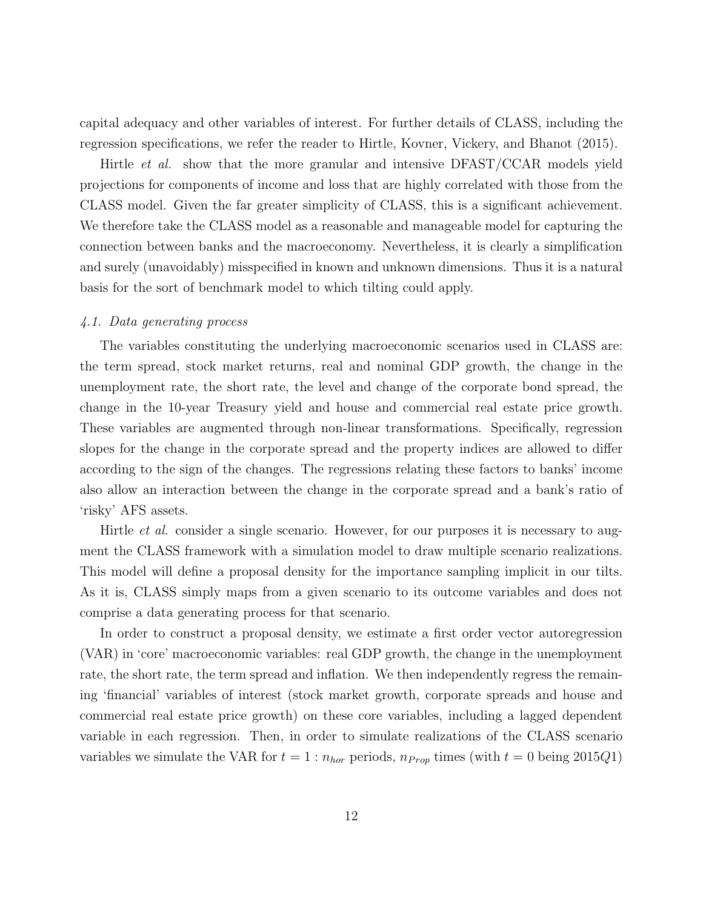capital adequacy and other variables of interest. For further details of CLASS, including the regression specifications, we refer the reader to Hirtle, Kovner, Vickery, and Bhanot (2015).

Hirtle et al. show that the more granular and intensive DFAST/CCAR models yield projections for components of income and loss that are highly correlated with those from the CLASS model. Given the far greater simplicity of CLASS, this is a significant achievement. We therefore take the CLASS model as a reasonable and manageable model for capturing the connection between banks and the macroeconomy. Nevertheless, it is clearly a simplification and surely (unavoidably) misspecified in known and unknown dimensions. Thus it is a natural basis for the sort of benchmark model to which tilting could apply.

#### 4.1. Data generating process

The variables constituting the underlying macroeconomic scenarios used in CLASS are: the term spread, stock market returns, real and nominal GDP growth, the change in the unemployment rate, the short rate, the level and change of the corporate bond spread, the change in the 10-year Treasury yield and house and commercial real estate price growth. These variables are augmented through non-linear transformations. Specifically, regression slopes for the change in the corporate spread and the property indices are allowed to differ according to the sign of the changes. The regressions relating these factors to banks' income also allow an interaction between the change in the corporate spread and a bank's ratio of 'risky' AFS assets.

Hirtle *et al.* consider a single scenario. However, for our purposes it is necessary to augment the CLASS framework with a simulation model to draw multiple scenario realizations. This model will define a proposal density for the importance sampling implicit in our tilts. As it is, CLASS simply maps from a given scenario to its outcome variables and does not comprise a data generating process for that scenario.

In order to construct a proposal density, we estimate a first order vector autoregression (VAR) in 'core' macroeconomic variables: real GDP growth, the change in the unemployment rate, the short rate, the term spread and inflation. We then independently regress the remaining 'financial' variables of interest (stock market growth, corporate spreads and house and commercial real estate price growth) on these core variables, including a lagged dependent variable in each regression. Then, in order to simulate realizations of the CLASS scenario variables we simulate the VAR for  $t = 1 : n_{hor}$  periods,  $n_{Prop}$  times (with  $t = 0$  being 2015Q1)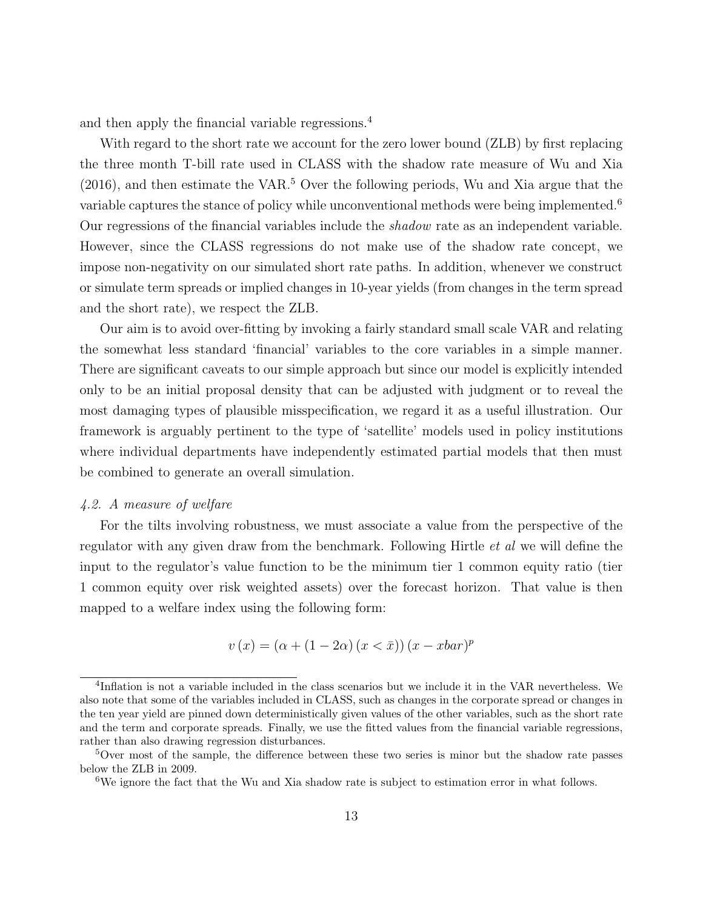and then apply the financial variable regressions.<sup>4</sup>

With regard to the short rate we account for the zero lower bound (ZLB) by first replacing the three month T-bill rate used in CLASS with the shadow rate measure of Wu and Xia  $(2016)$ , and then estimate the VAR.<sup>5</sup> Over the following periods, Wu and Xia argue that the variable captures the stance of policy while unconventional methods were being implemented.<sup>6</sup> Our regressions of the financial variables include the *shadow* rate as an independent variable. However, since the CLASS regressions do not make use of the shadow rate concept, we impose non-negativity on our simulated short rate paths. In addition, whenever we construct or simulate term spreads or implied changes in 10-year yields (from changes in the term spread and the short rate), we respect the ZLB.

Our aim is to avoid over-fitting by invoking a fairly standard small scale VAR and relating the somewhat less standard 'financial' variables to the core variables in a simple manner. There are significant caveats to our simple approach but since our model is explicitly intended only to be an initial proposal density that can be adjusted with judgment or to reveal the most damaging types of plausible misspecification, we regard it as a useful illustration. Our framework is arguably pertinent to the type of 'satellite' models used in policy institutions where individual departments have independently estimated partial models that then must be combined to generate an overall simulation.

#### 4.2. A measure of welfare

For the tilts involving robustness, we must associate a value from the perspective of the regulator with any given draw from the benchmark. Following Hirtle *et al* we will define the input to the regulator's value function to be the minimum tier 1 common equity ratio (tier 1 common equity over risk weighted assets) over the forecast horizon. That value is then mapped to a welfare index using the following form:

$$
v(x) = (\alpha + (1 - 2\alpha) (x < \bar{x})) (x - xbar)^p
$$

<sup>4</sup> Inflation is not a variable included in the class scenarios but we include it in the VAR nevertheless. We also note that some of the variables included in CLASS, such as changes in the corporate spread or changes in the ten year yield are pinned down deterministically given values of the other variables, such as the short rate and the term and corporate spreads. Finally, we use the fitted values from the financial variable regressions, rather than also drawing regression disturbances.

<sup>&</sup>lt;sup>5</sup>Over most of the sample, the difference between these two series is minor but the shadow rate passes below the ZLB in 2009.

 $6$ We ignore the fact that the Wu and Xia shadow rate is subject to estimation error in what follows.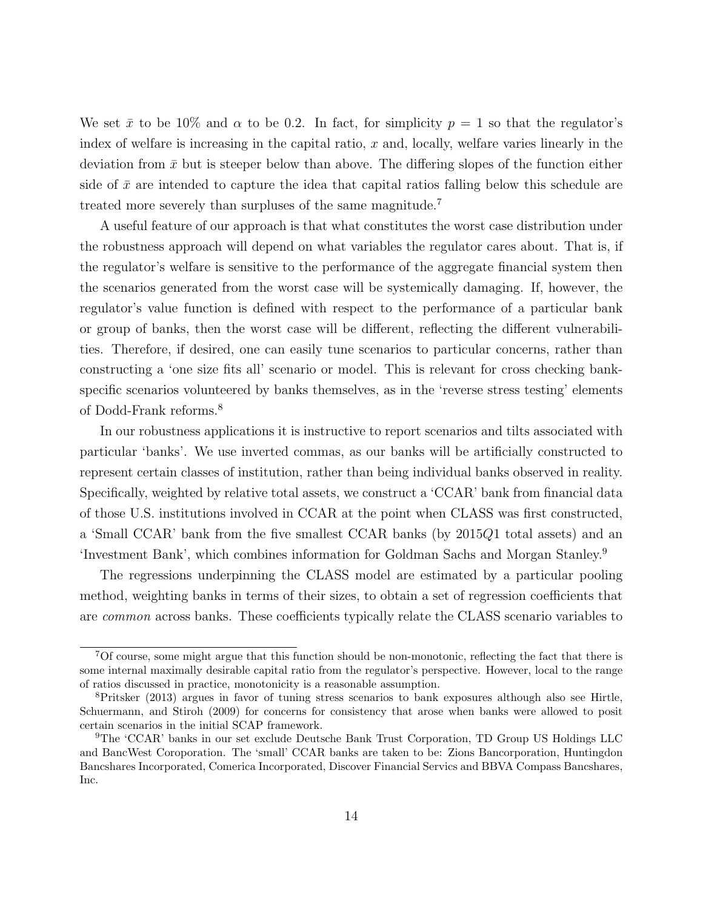We set  $\bar{x}$  to be 10% and  $\alpha$  to be 0.2. In fact, for simplicity  $p = 1$  so that the regulator's index of welfare is increasing in the capital ratio,  $x$  and, locally, welfare varies linearly in the deviation from  $\bar{x}$  but is steeper below than above. The differing slopes of the function either side of  $\bar{x}$  are intended to capture the idea that capital ratios falling below this schedule are treated more severely than surpluses of the same magnitude.<sup>7</sup>

A useful feature of our approach is that what constitutes the worst case distribution under the robustness approach will depend on what variables the regulator cares about. That is, if the regulator's welfare is sensitive to the performance of the aggregate financial system then the scenarios generated from the worst case will be systemically damaging. If, however, the regulator's value function is defined with respect to the performance of a particular bank or group of banks, then the worst case will be different, reflecting the different vulnerabilities. Therefore, if desired, one can easily tune scenarios to particular concerns, rather than constructing a 'one size fits all' scenario or model. This is relevant for cross checking bankspecific scenarios volunteered by banks themselves, as in the 'reverse stress testing' elements of Dodd-Frank reforms.<sup>8</sup>

In our robustness applications it is instructive to report scenarios and tilts associated with particular 'banks'. We use inverted commas, as our banks will be artificially constructed to represent certain classes of institution, rather than being individual banks observed in reality. Specifically, weighted by relative total assets, we construct a 'CCAR' bank from financial data of those U.S. institutions involved in CCAR at the point when CLASS was first constructed, a 'Small CCAR' bank from the five smallest CCAR banks (by 2015Q1 total assets) and an 'Investment Bank', which combines information for Goldman Sachs and Morgan Stanley.<sup>9</sup>

The regressions underpinning the CLASS model are estimated by a particular pooling method, weighting banks in terms of their sizes, to obtain a set of regression coefficients that are common across banks. These coefficients typically relate the CLASS scenario variables to

<sup>7</sup>Of course, some might argue that this function should be non-monotonic, reflecting the fact that there is some internal maximally desirable capital ratio from the regulator's perspective. However, local to the range of ratios discussed in practice, monotonicity is a reasonable assumption.

<sup>8</sup>Pritsker (2013) argues in favor of tuning stress scenarios to bank exposures although also see Hirtle, Schuermann, and Stiroh (2009) for concerns for consistency that arose when banks were allowed to posit certain scenarios in the initial SCAP framework.

<sup>9</sup>The 'CCAR' banks in our set exclude Deutsche Bank Trust Corporation, TD Group US Holdings LLC and BancWest Coroporation. The 'small' CCAR banks are taken to be: Zions Bancorporation, Huntingdon Bancshares Incorporated, Comerica Incorporated, Discover Financial Servics and BBVA Compass Bancshares, Inc.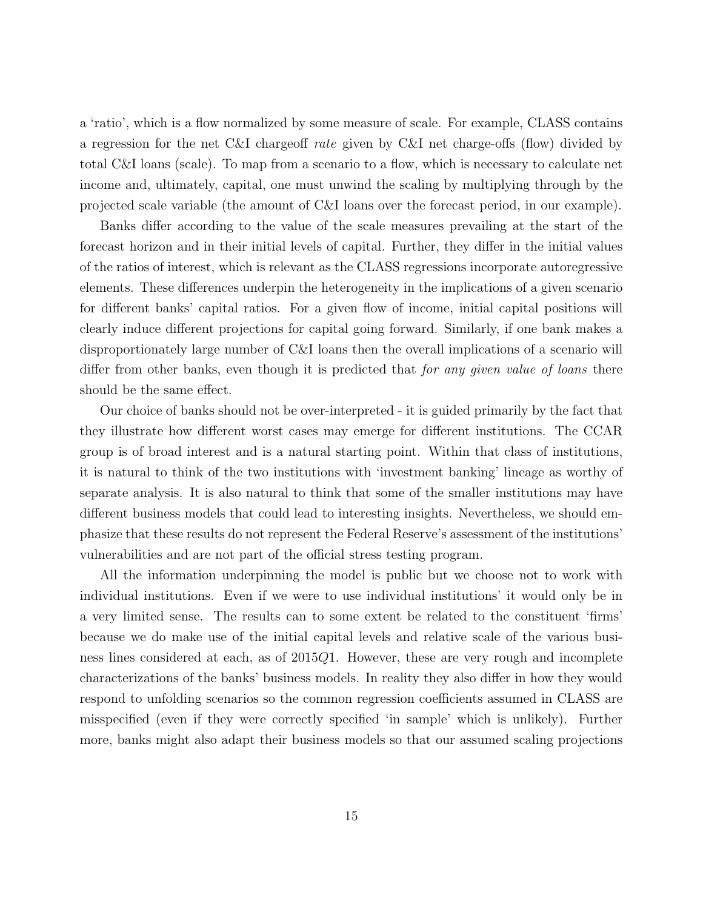a 'ratio', which is a flow normalized by some measure of scale. For example, CLASS contains a regression for the net C&I chargeoff rate given by C&I net charge-offs (flow) divided by total C&I loans (scale). To map from a scenario to a flow, which is necessary to calculate net income and, ultimately, capital, one must unwind the scaling by multiplying through by the projected scale variable (the amount of C&I loans over the forecast period, in our example).

Banks differ according to the value of the scale measures prevailing at the start of the forecast horizon and in their initial levels of capital. Further, they differ in the initial values of the ratios of interest, which is relevant as the CLASS regressions incorporate autoregressive elements. These differences underpin the heterogeneity in the implications of a given scenario for different banks' capital ratios. For a given flow of income, initial capital positions will clearly induce different projections for capital going forward. Similarly, if one bank makes a disproportionately large number of C&I loans then the overall implications of a scenario will differ from other banks, even though it is predicted that *for any given value of loans* there should be the same effect.

Our choice of banks should not be over-interpreted - it is guided primarily by the fact that they illustrate how different worst cases may emerge for different institutions. The CCAR group is of broad interest and is a natural starting point. Within that class of institutions, it is natural to think of the two institutions with 'investment banking' lineage as worthy of separate analysis. It is also natural to think that some of the smaller institutions may have different business models that could lead to interesting insights. Nevertheless, we should emphasize that these results do not represent the Federal Reserve's assessment of the institutions' vulnerabilities and are not part of the official stress testing program.

All the information underpinning the model is public but we choose not to work with individual institutions. Even if we were to use individual institutions' it would only be in a very limited sense. The results can to some extent be related to the constituent 'firms' because we do make use of the initial capital levels and relative scale of the various business lines considered at each, as of 2015Q1. However, these are very rough and incomplete characterizations of the banks' business models. In reality they also differ in how they would respond to unfolding scenarios so the common regression coefficients assumed in CLASS are misspecified (even if they were correctly specified 'in sample' which is unlikely). Further more, banks might also adapt their business models so that our assumed scaling projections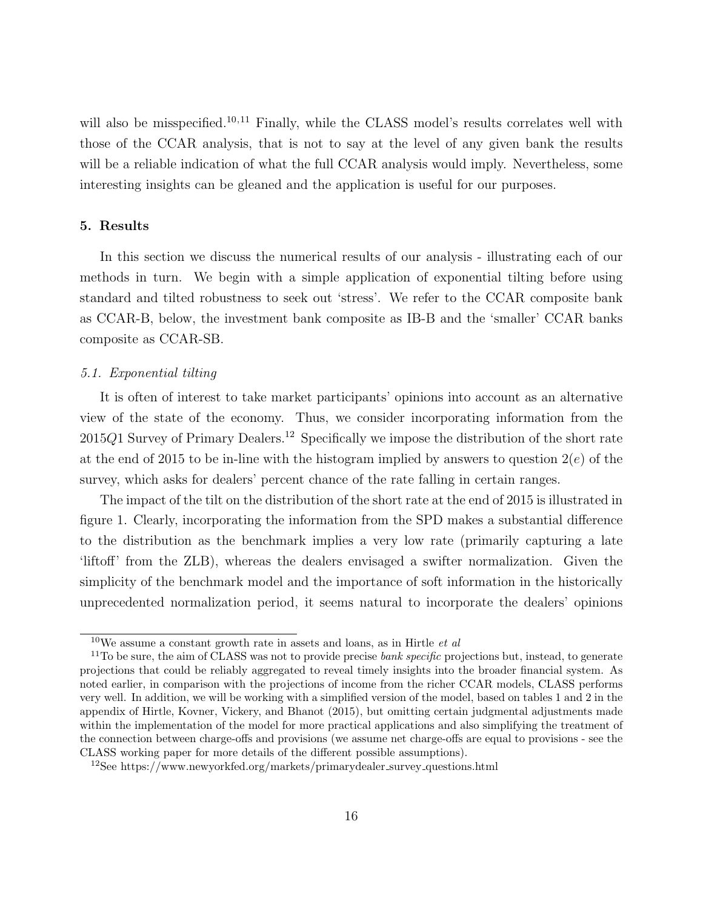will also be misspecified.<sup>10,11</sup> Finally, while the CLASS model's results correlates well with those of the CCAR analysis, that is not to say at the level of any given bank the results will be a reliable indication of what the full CCAR analysis would imply. Nevertheless, some interesting insights can be gleaned and the application is useful for our purposes.

#### 5. Results

In this section we discuss the numerical results of our analysis - illustrating each of our methods in turn. We begin with a simple application of exponential tilting before using standard and tilted robustness to seek out 'stress'. We refer to the CCAR composite bank as CCAR-B, below, the investment bank composite as IB-B and the 'smaller' CCAR banks composite as CCAR-SB.

#### 5.1. Exponential tilting

It is often of interest to take market participants' opinions into account as an alternative view of the state of the economy. Thus, we consider incorporating information from the 2015Q1 Survey of Primary Dealers.<sup>12</sup> Specifically we impose the distribution of the short rate at the end of 2015 to be in-line with the histogram implied by answers to question  $2(e)$  of the survey, which asks for dealers' percent chance of the rate falling in certain ranges.

The impact of the tilt on the distribution of the short rate at the end of 2015 is illustrated in figure 1. Clearly, incorporating the information from the SPD makes a substantial difference to the distribution as the benchmark implies a very low rate (primarily capturing a late 'liftoff' from the ZLB), whereas the dealers envisaged a swifter normalization. Given the simplicity of the benchmark model and the importance of soft information in the historically unprecedented normalization period, it seems natural to incorporate the dealers' opinions

 $10$ We assume a constant growth rate in assets and loans, as in Hirtle *et al* 

 $11$ To be sure, the aim of CLASS was not to provide precise *bank specific* projections but, instead, to generate projections that could be reliably aggregated to reveal timely insights into the broader financial system. As noted earlier, in comparison with the projections of income from the richer CCAR models, CLASS performs very well. In addition, we will be working with a simplified version of the model, based on tables 1 and 2 in the appendix of Hirtle, Kovner, Vickery, and Bhanot (2015), but omitting certain judgmental adjustments made within the implementation of the model for more practical applications and also simplifying the treatment of the connection between charge-offs and provisions (we assume net charge-offs are equal to provisions - see the CLASS working paper for more details of the different possible assumptions).

<sup>12</sup>See https://www.newyorkfed.org/markets/primarydealer survey questions.html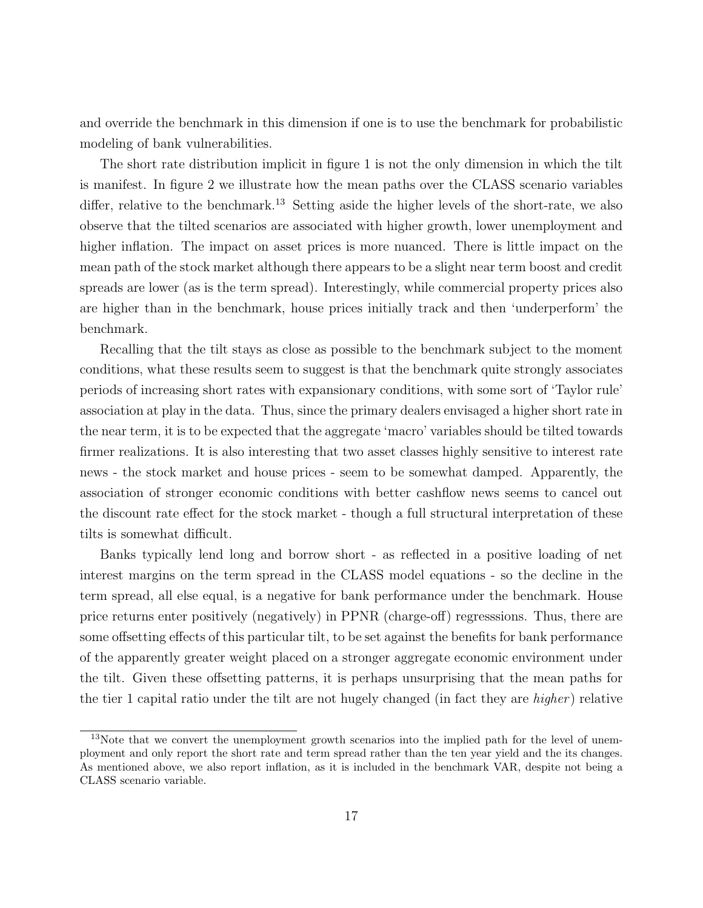and override the benchmark in this dimension if one is to use the benchmark for probabilistic modeling of bank vulnerabilities.

The short rate distribution implicit in figure 1 is not the only dimension in which the tilt is manifest. In figure 2 we illustrate how the mean paths over the CLASS scenario variables differ, relative to the benchmark.<sup>13</sup> Setting aside the higher levels of the short-rate, we also observe that the tilted scenarios are associated with higher growth, lower unemployment and higher inflation. The impact on asset prices is more nuanced. There is little impact on the mean path of the stock market although there appears to be a slight near term boost and credit spreads are lower (as is the term spread). Interestingly, while commercial property prices also are higher than in the benchmark, house prices initially track and then 'underperform' the benchmark.

Recalling that the tilt stays as close as possible to the benchmark subject to the moment conditions, what these results seem to suggest is that the benchmark quite strongly associates periods of increasing short rates with expansionary conditions, with some sort of 'Taylor rule' association at play in the data. Thus, since the primary dealers envisaged a higher short rate in the near term, it is to be expected that the aggregate 'macro' variables should be tilted towards firmer realizations. It is also interesting that two asset classes highly sensitive to interest rate news - the stock market and house prices - seem to be somewhat damped. Apparently, the association of stronger economic conditions with better cashflow news seems to cancel out the discount rate effect for the stock market - though a full structural interpretation of these tilts is somewhat difficult.

Banks typically lend long and borrow short - as reflected in a positive loading of net interest margins on the term spread in the CLASS model equations - so the decline in the term spread, all else equal, is a negative for bank performance under the benchmark. House price returns enter positively (negatively) in PPNR (charge-off) regresssions. Thus, there are some offsetting effects of this particular tilt, to be set against the benefits for bank performance of the apparently greater weight placed on a stronger aggregate economic environment under the tilt. Given these offsetting patterns, it is perhaps unsurprising that the mean paths for the tier 1 capital ratio under the tilt are not hugely changed (in fact they are  $higher$ ) relative

<sup>&</sup>lt;sup>13</sup>Note that we convert the unemployment growth scenarios into the implied path for the level of unemployment and only report the short rate and term spread rather than the ten year yield and the its changes. As mentioned above, we also report inflation, as it is included in the benchmark VAR, despite not being a CLASS scenario variable.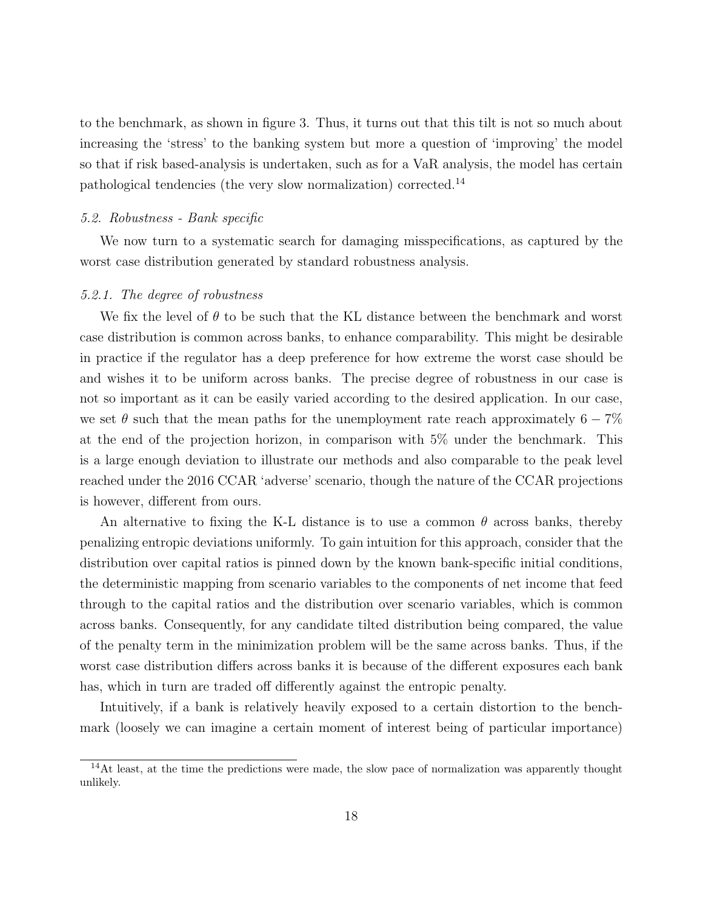to the benchmark, as shown in figure 3. Thus, it turns out that this tilt is not so much about increasing the 'stress' to the banking system but more a question of 'improving' the model so that if risk based-analysis is undertaken, such as for a VaR analysis, the model has certain pathological tendencies (the very slow normalization) corrected.<sup>14</sup>

#### 5.2. Robustness - Bank specific

We now turn to a systematic search for damaging misspecifications, as captured by the worst case distribution generated by standard robustness analysis.

#### 5.2.1. The degree of robustness

We fix the level of  $\theta$  to be such that the KL distance between the benchmark and worst case distribution is common across banks, to enhance comparability. This might be desirable in practice if the regulator has a deep preference for how extreme the worst case should be and wishes it to be uniform across banks. The precise degree of robustness in our case is not so important as it can be easily varied according to the desired application. In our case, we set  $\theta$  such that the mean paths for the unemployment rate reach approximately 6 − 7% at the end of the projection horizon, in comparison with 5% under the benchmark. This is a large enough deviation to illustrate our methods and also comparable to the peak level reached under the 2016 CCAR 'adverse' scenario, though the nature of the CCAR projections is however, different from ours.

An alternative to fixing the K-L distance is to use a common  $\theta$  across banks, thereby penalizing entropic deviations uniformly. To gain intuition for this approach, consider that the distribution over capital ratios is pinned down by the known bank-specific initial conditions, the deterministic mapping from scenario variables to the components of net income that feed through to the capital ratios and the distribution over scenario variables, which is common across banks. Consequently, for any candidate tilted distribution being compared, the value of the penalty term in the minimization problem will be the same across banks. Thus, if the worst case distribution differs across banks it is because of the different exposures each bank has, which in turn are traded off differently against the entropic penalty.

Intuitively, if a bank is relatively heavily exposed to a certain distortion to the benchmark (loosely we can imagine a certain moment of interest being of particular importance)

 $14$ At least, at the time the predictions were made, the slow pace of normalization was apparently thought unlikely.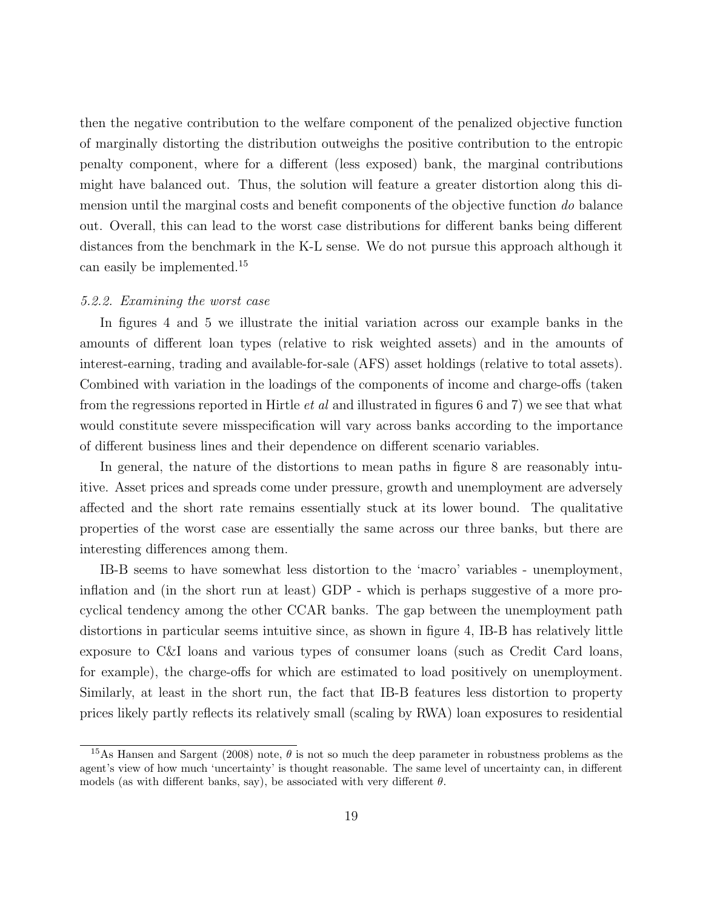then the negative contribution to the welfare component of the penalized objective function of marginally distorting the distribution outweighs the positive contribution to the entropic penalty component, where for a different (less exposed) bank, the marginal contributions might have balanced out. Thus, the solution will feature a greater distortion along this dimension until the marginal costs and benefit components of the objective function do balance out. Overall, this can lead to the worst case distributions for different banks being different distances from the benchmark in the K-L sense. We do not pursue this approach although it can easily be implemented.<sup>15</sup>

#### 5.2.2. Examining the worst case

In figures 4 and 5 we illustrate the initial variation across our example banks in the amounts of different loan types (relative to risk weighted assets) and in the amounts of interest-earning, trading and available-for-sale (AFS) asset holdings (relative to total assets). Combined with variation in the loadings of the components of income and charge-offs (taken from the regressions reported in Hirtle *et al* and illustrated in figures 6 and 7) we see that what would constitute severe misspecification will vary across banks according to the importance of different business lines and their dependence on different scenario variables.

In general, the nature of the distortions to mean paths in figure 8 are reasonably intuitive. Asset prices and spreads come under pressure, growth and unemployment are adversely affected and the short rate remains essentially stuck at its lower bound. The qualitative properties of the worst case are essentially the same across our three banks, but there are interesting differences among them.

IB-B seems to have somewhat less distortion to the 'macro' variables - unemployment, inflation and (in the short run at least) GDP - which is perhaps suggestive of a more procyclical tendency among the other CCAR banks. The gap between the unemployment path distortions in particular seems intuitive since, as shown in figure 4, IB-B has relatively little exposure to C&I loans and various types of consumer loans (such as Credit Card loans, for example), the charge-offs for which are estimated to load positively on unemployment. Similarly, at least in the short run, the fact that IB-B features less distortion to property prices likely partly reflects its relatively small (scaling by RWA) loan exposures to residential

<sup>&</sup>lt;sup>15</sup>As Hansen and Sargent (2008) note,  $\theta$  is not so much the deep parameter in robustness problems as the agent's view of how much 'uncertainty' is thought reasonable. The same level of uncertainty can, in different models (as with different banks, say), be associated with very different  $\theta$ .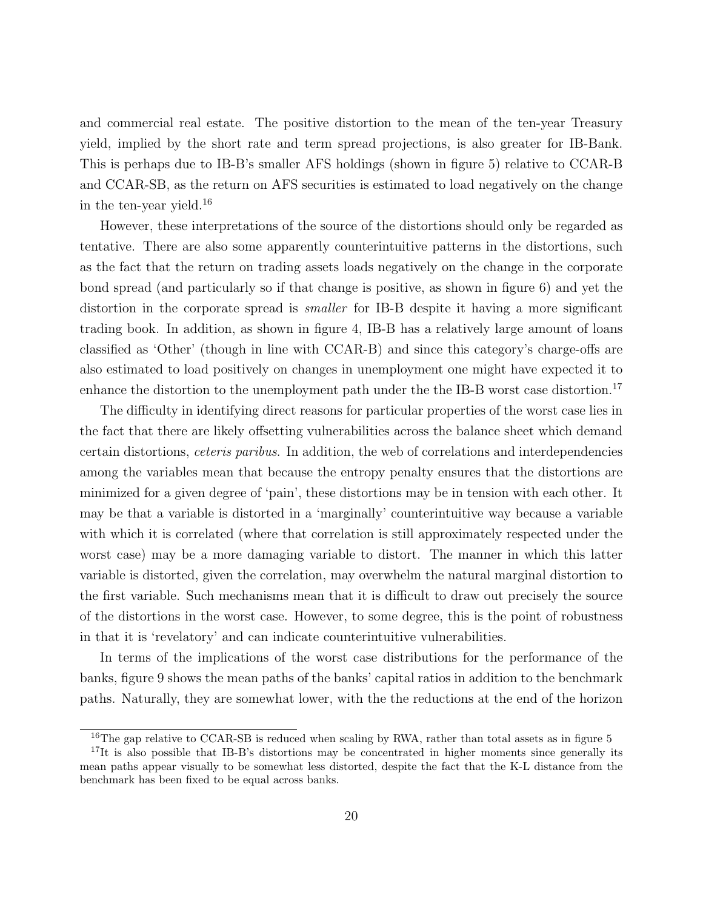and commercial real estate. The positive distortion to the mean of the ten-year Treasury yield, implied by the short rate and term spread projections, is also greater for IB-Bank. This is perhaps due to IB-B's smaller AFS holdings (shown in figure 5) relative to CCAR-B and CCAR-SB, as the return on AFS securities is estimated to load negatively on the change in the ten-year yield.<sup>16</sup>

However, these interpretations of the source of the distortions should only be regarded as tentative. There are also some apparently counterintuitive patterns in the distortions, such as the fact that the return on trading assets loads negatively on the change in the corporate bond spread (and particularly so if that change is positive, as shown in figure 6) and yet the distortion in the corporate spread is smaller for IB-B despite it having a more significant trading book. In addition, as shown in figure 4, IB-B has a relatively large amount of loans classified as 'Other' (though in line with CCAR-B) and since this category's charge-offs are also estimated to load positively on changes in unemployment one might have expected it to enhance the distortion to the unemployment path under the the IB-B worst case distortion.<sup>17</sup>

The difficulty in identifying direct reasons for particular properties of the worst case lies in the fact that there are likely offsetting vulnerabilities across the balance sheet which demand certain distortions, ceteris paribus. In addition, the web of correlations and interdependencies among the variables mean that because the entropy penalty ensures that the distortions are minimized for a given degree of 'pain', these distortions may be in tension with each other. It may be that a variable is distorted in a 'marginally' counterintuitive way because a variable with which it is correlated (where that correlation is still approximately respected under the worst case) may be a more damaging variable to distort. The manner in which this latter variable is distorted, given the correlation, may overwhelm the natural marginal distortion to the first variable. Such mechanisms mean that it is difficult to draw out precisely the source of the distortions in the worst case. However, to some degree, this is the point of robustness in that it is 'revelatory' and can indicate counterintuitive vulnerabilities.

In terms of the implications of the worst case distributions for the performance of the banks, figure 9 shows the mean paths of the banks' capital ratios in addition to the benchmark paths. Naturally, they are somewhat lower, with the the reductions at the end of the horizon

<sup>&</sup>lt;sup>16</sup>The gap relative to CCAR-SB is reduced when scaling by RWA, rather than total assets as in figure 5

<sup>&</sup>lt;sup>17</sup>It is also possible that IB-B's distortions may be concentrated in higher moments since generally its mean paths appear visually to be somewhat less distorted, despite the fact that the K-L distance from the benchmark has been fixed to be equal across banks.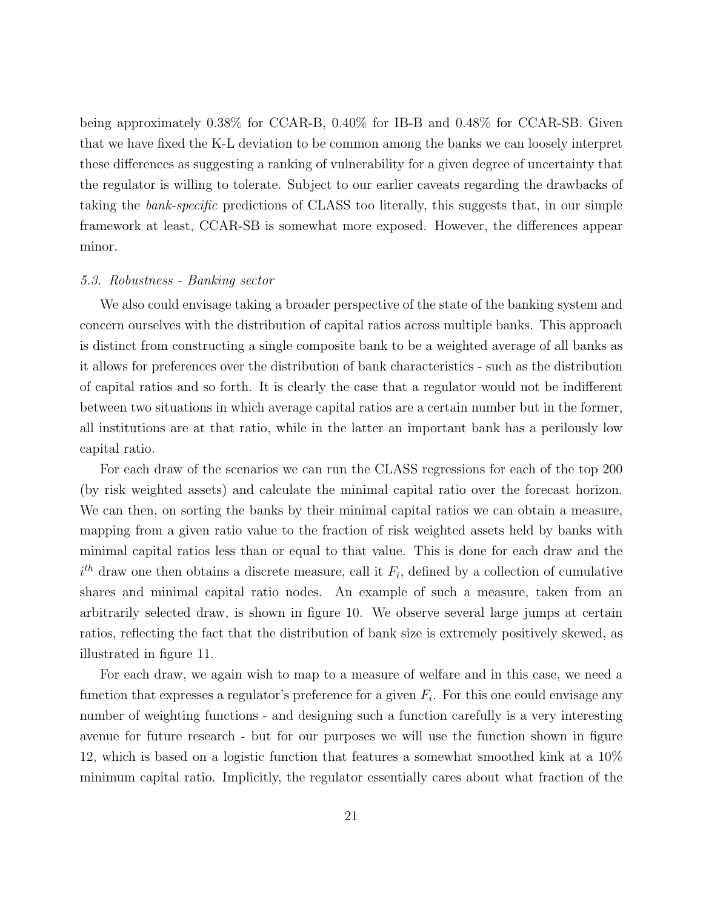being approximately 0.38% for CCAR-B, 0.40% for IB-B and 0.48% for CCAR-SB. Given that we have fixed the K-L deviation to be common among the banks we can loosely interpret these differences as suggesting a ranking of vulnerability for a given degree of uncertainty that the regulator is willing to tolerate. Subject to our earlier caveats regarding the drawbacks of taking the bank-specific predictions of CLASS too literally, this suggests that, in our simple framework at least, CCAR-SB is somewhat more exposed. However, the differences appear minor.

#### 5.3. Robustness - Banking sector

We also could envisage taking a broader perspective of the state of the banking system and concern ourselves with the distribution of capital ratios across multiple banks. This approach is distinct from constructing a single composite bank to be a weighted average of all banks as it allows for preferences over the distribution of bank characteristics - such as the distribution of capital ratios and so forth. It is clearly the case that a regulator would not be indifferent between two situations in which average capital ratios are a certain number but in the former, all institutions are at that ratio, while in the latter an important bank has a perilously low capital ratio.

For each draw of the scenarios we can run the CLASS regressions for each of the top 200 (by risk weighted assets) and calculate the minimal capital ratio over the forecast horizon. We can then, on sorting the banks by their minimal capital ratios we can obtain a measure, mapping from a given ratio value to the fraction of risk weighted assets held by banks with minimal capital ratios less than or equal to that value. This is done for each draw and the  $i<sup>th</sup>$  draw one then obtains a discrete measure, call it  $F_i$ , defined by a collection of cumulative shares and minimal capital ratio nodes. An example of such a measure, taken from an arbitrarily selected draw, is shown in figure 10. We observe several large jumps at certain ratios, reflecting the fact that the distribution of bank size is extremely positively skewed, as illustrated in figure 11.

For each draw, we again wish to map to a measure of welfare and in this case, we need a function that expresses a regulator's preference for a given  $F_i$ . For this one could envisage any number of weighting functions - and designing such a function carefully is a very interesting avenue for future research - but for our purposes we will use the function shown in figure 12, which is based on a logistic function that features a somewhat smoothed kink at a 10% minimum capital ratio. Implicitly, the regulator essentially cares about what fraction of the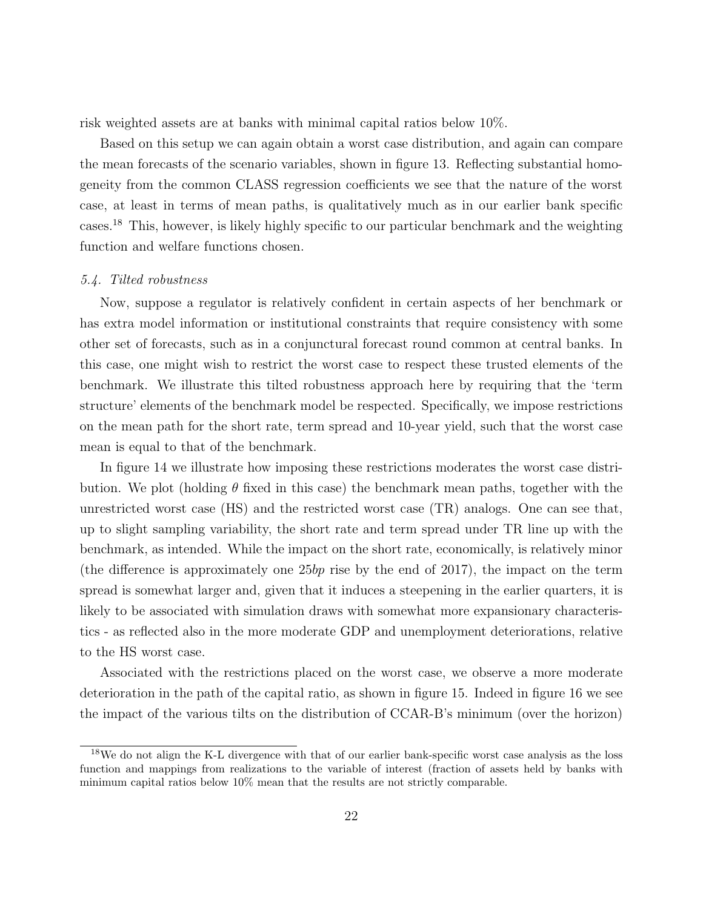risk weighted assets are at banks with minimal capital ratios below 10%.

Based on this setup we can again obtain a worst case distribution, and again can compare the mean forecasts of the scenario variables, shown in figure 13. Reflecting substantial homogeneity from the common CLASS regression coefficients we see that the nature of the worst case, at least in terms of mean paths, is qualitatively much as in our earlier bank specific cases.<sup>18</sup> This, however, is likely highly specific to our particular benchmark and the weighting function and welfare functions chosen.

#### 5.4. Tilted robustness

Now, suppose a regulator is relatively confident in certain aspects of her benchmark or has extra model information or institutional constraints that require consistency with some other set of forecasts, such as in a conjunctural forecast round common at central banks. In this case, one might wish to restrict the worst case to respect these trusted elements of the benchmark. We illustrate this tilted robustness approach here by requiring that the 'term structure' elements of the benchmark model be respected. Specifically, we impose restrictions on the mean path for the short rate, term spread and 10-year yield, such that the worst case mean is equal to that of the benchmark.

In figure 14 we illustrate how imposing these restrictions moderates the worst case distribution. We plot (holding  $\theta$  fixed in this case) the benchmark mean paths, together with the unrestricted worst case (HS) and the restricted worst case (TR) analogs. One can see that, up to slight sampling variability, the short rate and term spread under TR line up with the benchmark, as intended. While the impact on the short rate, economically, is relatively minor (the difference is approximately one 25bp rise by the end of 2017), the impact on the term spread is somewhat larger and, given that it induces a steepening in the earlier quarters, it is likely to be associated with simulation draws with somewhat more expansionary characteristics - as reflected also in the more moderate GDP and unemployment deteriorations, relative to the HS worst case.

Associated with the restrictions placed on the worst case, we observe a more moderate deterioration in the path of the capital ratio, as shown in figure 15. Indeed in figure 16 we see the impact of the various tilts on the distribution of CCAR-B's minimum (over the horizon)

<sup>&</sup>lt;sup>18</sup>We do not align the K-L divergence with that of our earlier bank-specific worst case analysis as the loss function and mappings from realizations to the variable of interest (fraction of assets held by banks with minimum capital ratios below 10% mean that the results are not strictly comparable.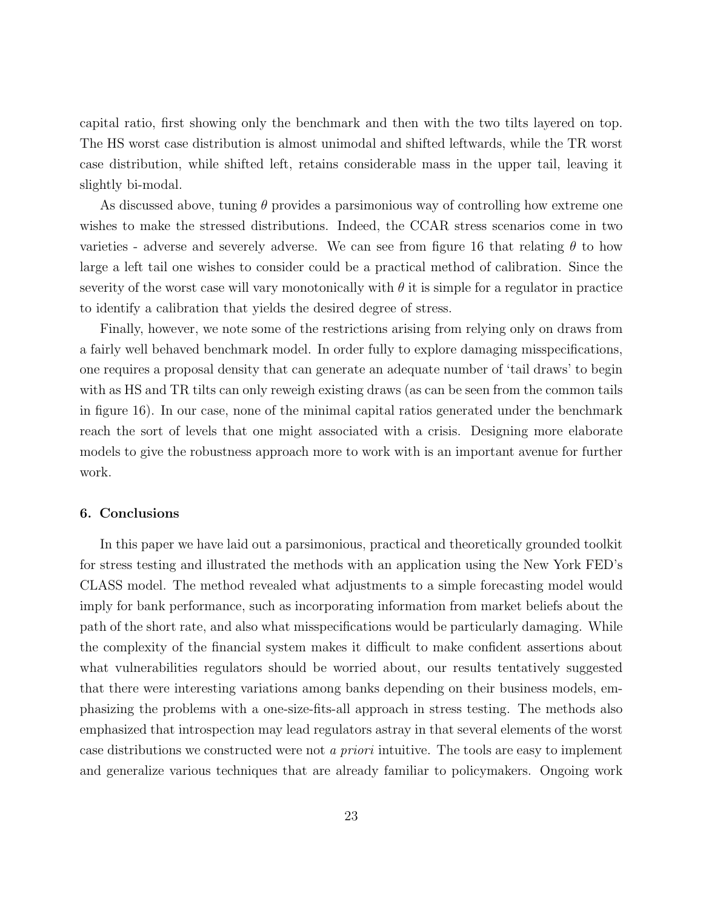capital ratio, first showing only the benchmark and then with the two tilts layered on top. The HS worst case distribution is almost unimodal and shifted leftwards, while the TR worst case distribution, while shifted left, retains considerable mass in the upper tail, leaving it slightly bi-modal.

As discussed above, tuning  $\theta$  provides a parsimonious way of controlling how extreme one wishes to make the stressed distributions. Indeed, the CCAR stress scenarios come in two varieties - adverse and severely adverse. We can see from figure 16 that relating  $\theta$  to how large a left tail one wishes to consider could be a practical method of calibration. Since the severity of the worst case will vary monotonically with  $\theta$  it is simple for a regulator in practice to identify a calibration that yields the desired degree of stress.

Finally, however, we note some of the restrictions arising from relying only on draws from a fairly well behaved benchmark model. In order fully to explore damaging misspecifications, one requires a proposal density that can generate an adequate number of 'tail draws' to begin with as HS and TR tilts can only reweigh existing draws (as can be seen from the common tails in figure 16). In our case, none of the minimal capital ratios generated under the benchmark reach the sort of levels that one might associated with a crisis. Designing more elaborate models to give the robustness approach more to work with is an important avenue for further work.

#### 6. Conclusions

In this paper we have laid out a parsimonious, practical and theoretically grounded toolkit for stress testing and illustrated the methods with an application using the New York FED's CLASS model. The method revealed what adjustments to a simple forecasting model would imply for bank performance, such as incorporating information from market beliefs about the path of the short rate, and also what misspecifications would be particularly damaging. While the complexity of the financial system makes it difficult to make confident assertions about what vulnerabilities regulators should be worried about, our results tentatively suggested that there were interesting variations among banks depending on their business models, emphasizing the problems with a one-size-fits-all approach in stress testing. The methods also emphasized that introspection may lead regulators astray in that several elements of the worst case distributions we constructed were not a priori intuitive. The tools are easy to implement and generalize various techniques that are already familiar to policymakers. Ongoing work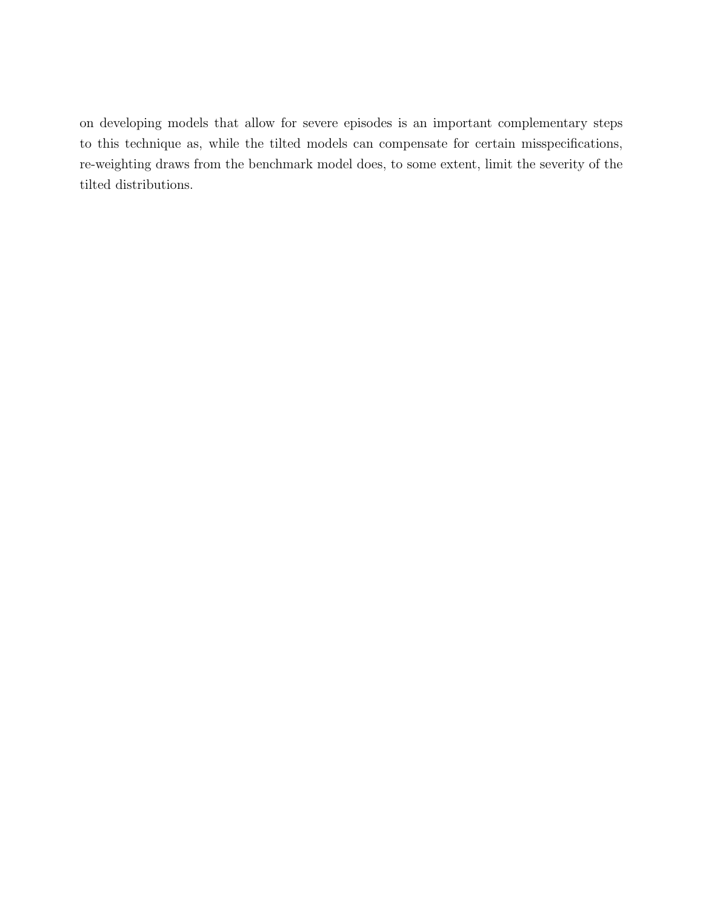on developing models that allow for severe episodes is an important complementary steps to this technique as, while the tilted models can compensate for certain misspecifications, re-weighting draws from the benchmark model does, to some extent, limit the severity of the tilted distributions.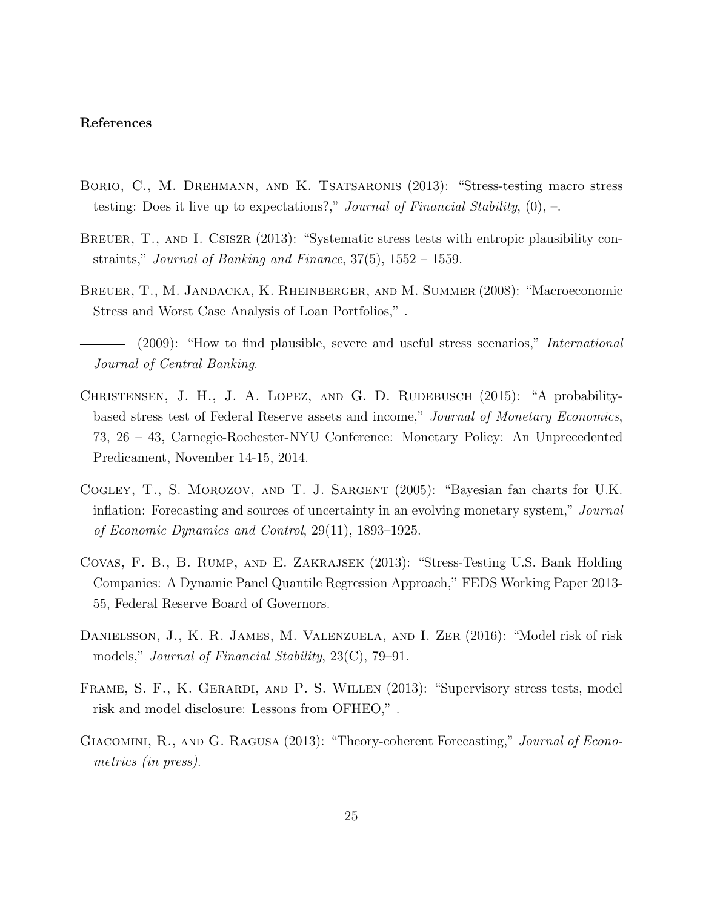#### References

- Borio, C., M. Drehmann, and K. Tsatsaronis (2013): "Stress-testing macro stress testing: Does it live up to expectations?," Journal of Financial Stability,  $(0)$ ,  $-$ .
- BREUER, T., AND I. CSISZR (2013): "Systematic stress tests with entropic plausibility constraints," Journal of Banking and Finance,  $37(5)$ ,  $1552 - 1559$ .
- Breuer, T., M. Jandacka, K. Rheinberger, and M. Summer (2008): "Macroeconomic Stress and Worst Case Analysis of Loan Portfolios," .
- (2009): "How to find plausible, severe and useful stress scenarios," International Journal of Central Banking.
- CHRISTENSEN, J. H., J. A. LOPEZ, AND G. D. RUDEBUSCH (2015): "A probabilitybased stress test of Federal Reserve assets and income," Journal of Monetary Economics, 73, 26 – 43, Carnegie-Rochester-NYU Conference: Monetary Policy: An Unprecedented Predicament, November 14-15, 2014.
- Cogley, T., S. Morozov, and T. J. Sargent (2005): "Bayesian fan charts for U.K. inflation: Forecasting and sources of uncertainty in an evolving monetary system," Journal of Economic Dynamics and Control, 29(11), 1893–1925.
- Covas, F. B., B. Rump, and E. Zakrajsek (2013): "Stress-Testing U.S. Bank Holding Companies: A Dynamic Panel Quantile Regression Approach," FEDS Working Paper 2013- 55, Federal Reserve Board of Governors.
- Danielsson, J., K. R. James, M. Valenzuela, and I. Zer (2016): "Model risk of risk models," Journal of Financial Stability, 23(C), 79–91.
- Frame, S. F., K. Gerardi, and P. S. Willen (2013): "Supervisory stress tests, model risk and model disclosure: Lessons from OFHEO," .
- GIACOMINI, R., AND G. RAGUSA (2013): "Theory-coherent Forecasting," Journal of Econometrics (in press).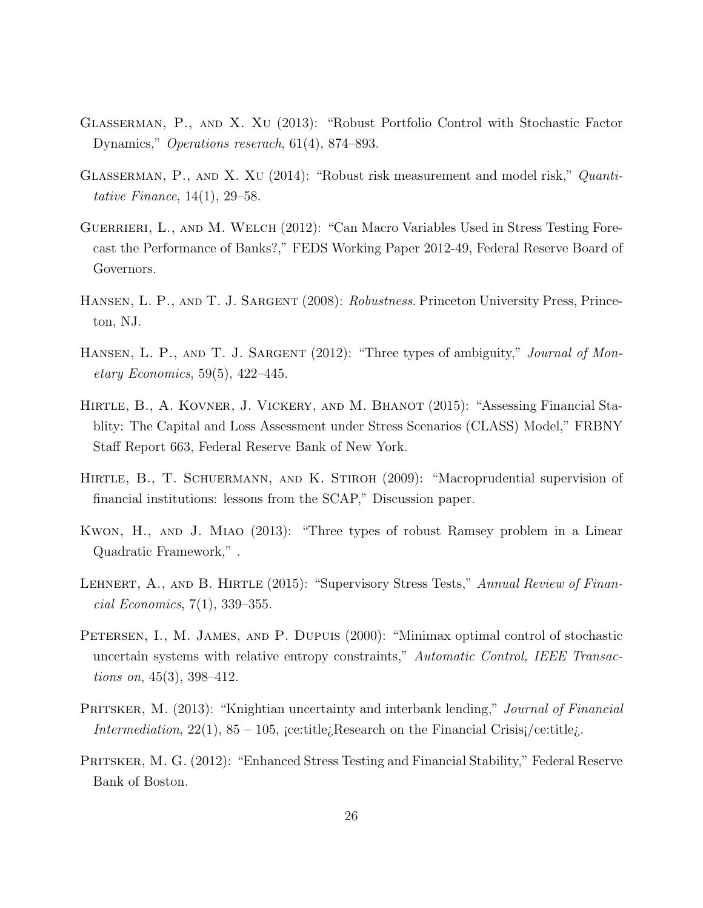- Glasserman, P., and X. Xu (2013): "Robust Portfolio Control with Stochastic Factor Dynamics," Operations reserach, 61(4), 874–893.
- Glasserman, P., and X. Xu (2014): "Robust risk measurement and model risk," Quantitative Finance,  $14(1)$ ,  $29-58$ .
- GUERRIERI, L., AND M. WELCH (2012): "Can Macro Variables Used in Stress Testing Forecast the Performance of Banks?," FEDS Working Paper 2012-49, Federal Reserve Board of Governors.
- HANSEN, L. P., AND T. J. SARGENT (2008): Robustness. Princeton University Press, Princeton, NJ.
- HANSEN, L. P., AND T. J. SARGENT (2012): "Three types of ambiguity," *Journal of Mon*etary Economics, 59(5), 422–445.
- HIRTLE, B., A. KOVNER, J. VICKERY, AND M. BHANOT (2015): "Assessing Financial Stablity: The Capital and Loss Assessment under Stress Scenarios (CLASS) Model," FRBNY Staff Report 663, Federal Reserve Bank of New York.
- HIRTLE, B., T. SCHUERMANN, AND K. STIROH (2009): "Macroprudential supervision of financial institutions: lessons from the SCAP," Discussion paper.
- Kwon, H., and J. Miao (2013): "Three types of robust Ramsey problem in a Linear Quadratic Framework," .
- LEHNERT, A., AND B. HIRTLE (2015): "Supervisory Stress Tests," Annual Review of Financial Economics, 7(1), 339–355.
- PETERSEN, I., M. JAMES, AND P. DUPUIS (2000): "Minimax optimal control of stochastic uncertain systems with relative entropy constraints," Automatic Control, IEEE Transactions on, 45(3), 398–412.
- PRITSKER, M. (2013): "Knightian uncertainty and interbank lending," *Journal of Financial* Intermediation,  $22(1)$ ,  $85-105$ , joe:title; Research on the Financial Crisis; /ce:title;
- PRITSKER, M. G. (2012): "Enhanced Stress Testing and Financial Stability," Federal Reserve Bank of Boston.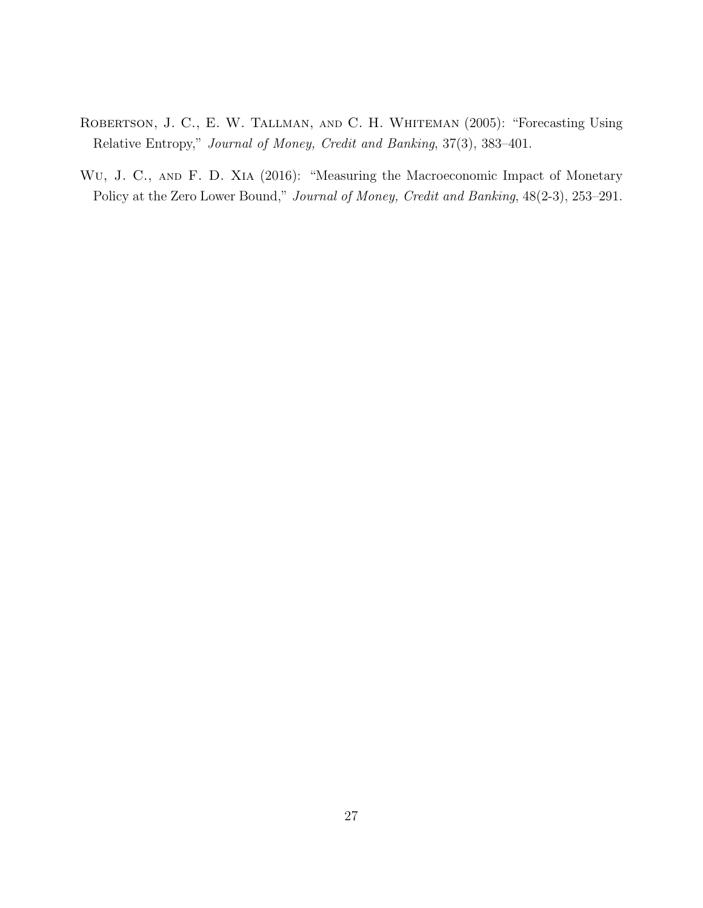- ROBERTSON, J. C., E. W. TALLMAN, AND C. H. WHITEMAN (2005): "Forecasting Using Relative Entropy," Journal of Money, Credit and Banking, 37(3), 383–401.
- Wu, J. C., and F. D. Xia (2016): "Measuring the Macroeconomic Impact of Monetary Policy at the Zero Lower Bound," Journal of Money, Credit and Banking, 48(2-3), 253–291.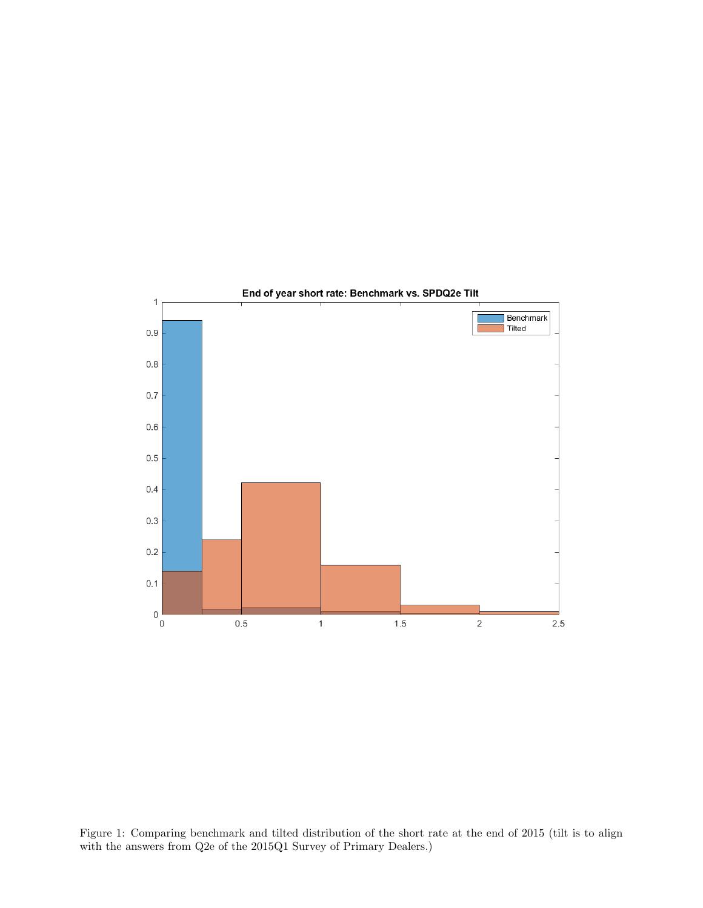

Figure 1: Comparing benchmark and tilted distribution of the short rate at the end of 2015 (tilt is to align with the answers from Q2e of the 2015Q1 Survey of Primary Dealers.)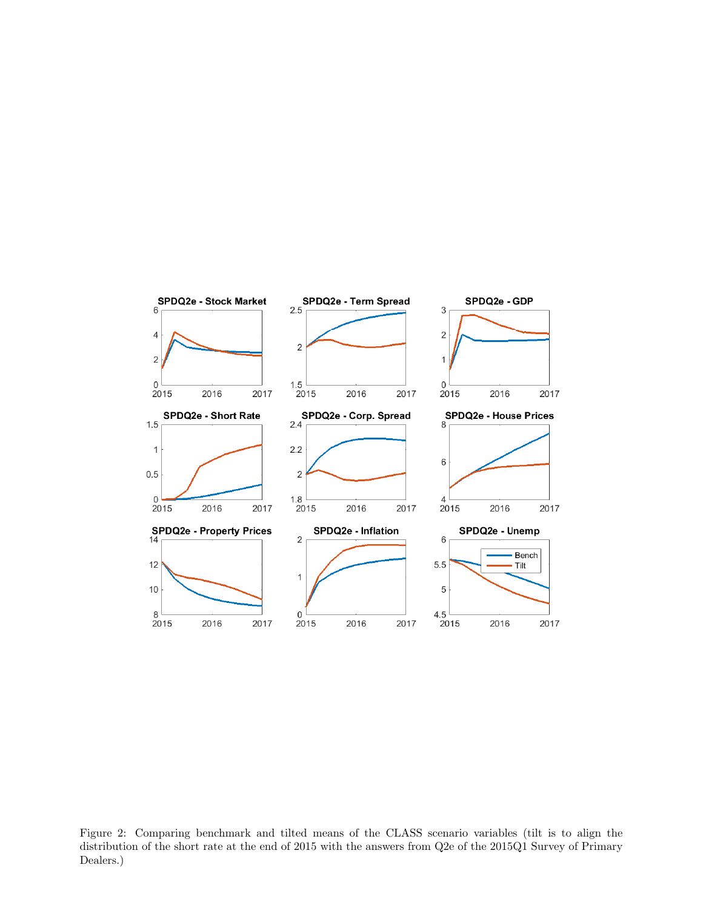

Figure 2: Comparing benchmark and tilted means of the CLASS scenario variables (tilt is to align the distribution of the short rate at the end of 2015 with the answers from Q2e of the 2015Q1 Survey of Primary Dealers.)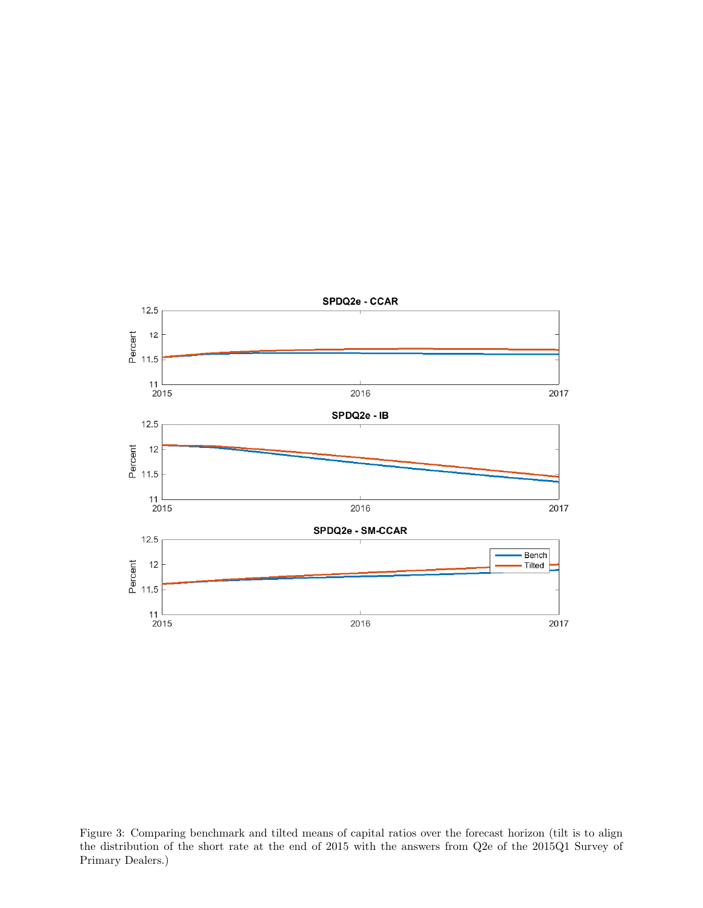

Figure 3: Comparing benchmark and tilted means of capital ratios over the forecast horizon (tilt is to align the distribution of the short rate at the end of 2015 with the answers from Q2e of the 2015Q1 Survey of Primary Dealers.)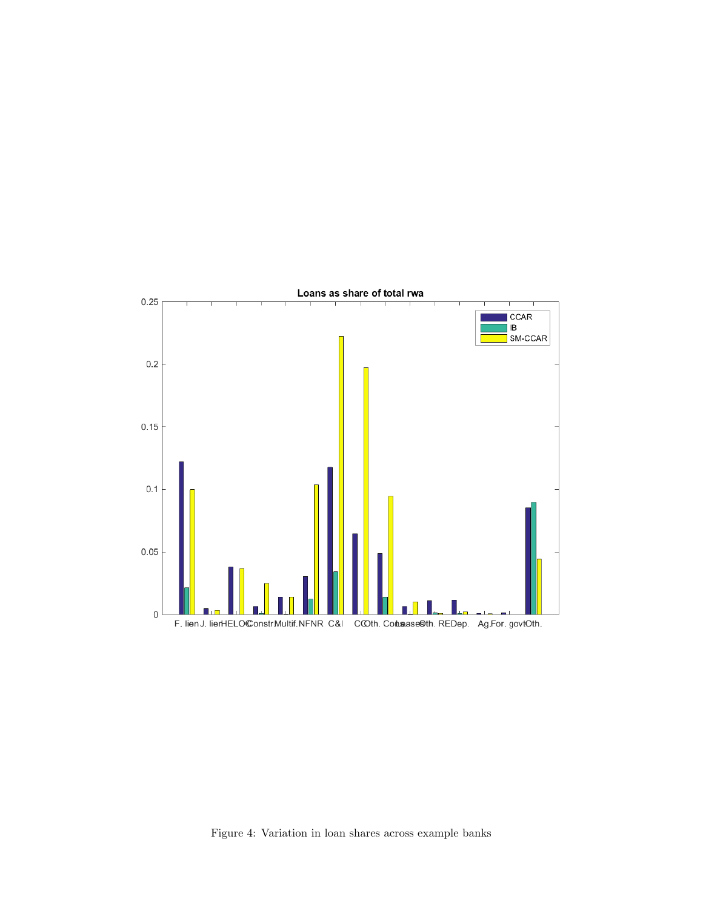

Figure 4: Variation in loan shares across example banks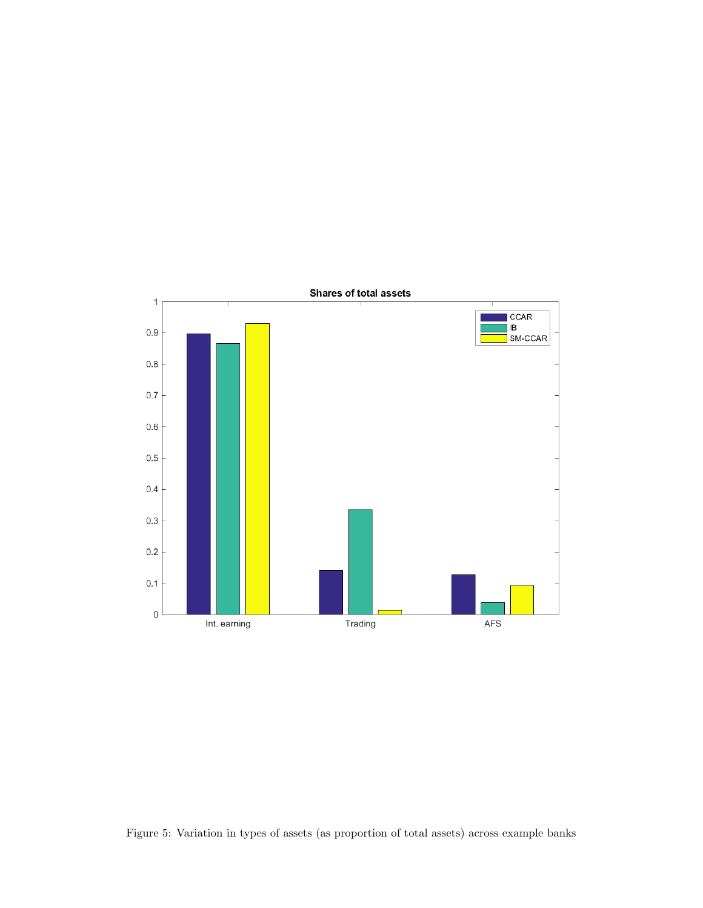

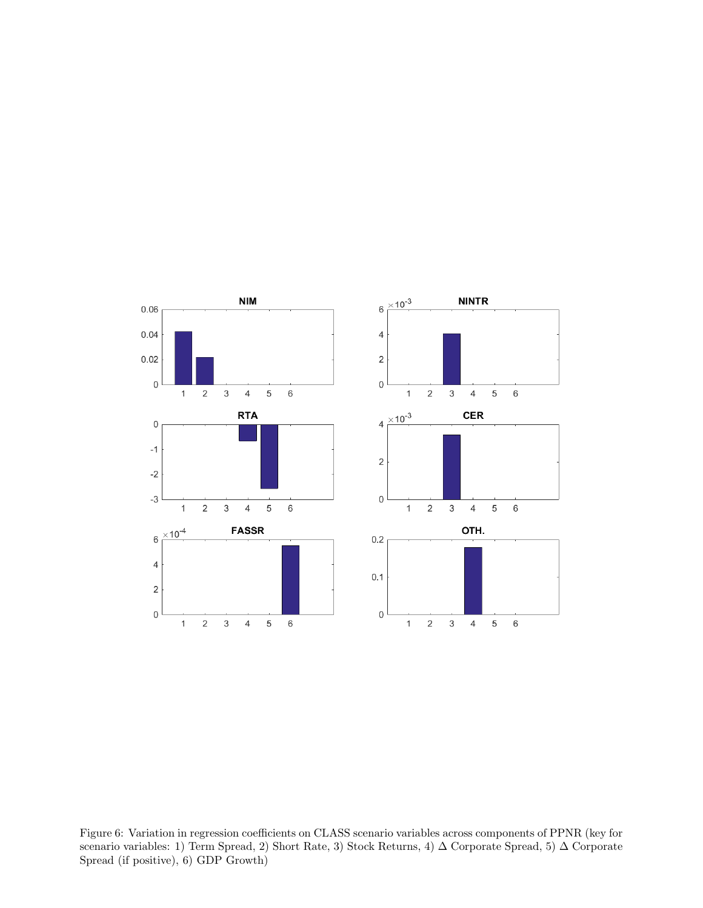

Figure 6: Variation in regression coefficients on CLASS scenario variables across components of PPNR (key for scenario variables: 1) Term Spread, 2) Short Rate, 3) Stock Returns, 4) ∆ Corporate Spread, 5) ∆ Corporate Spread (if positive), 6) GDP Growth)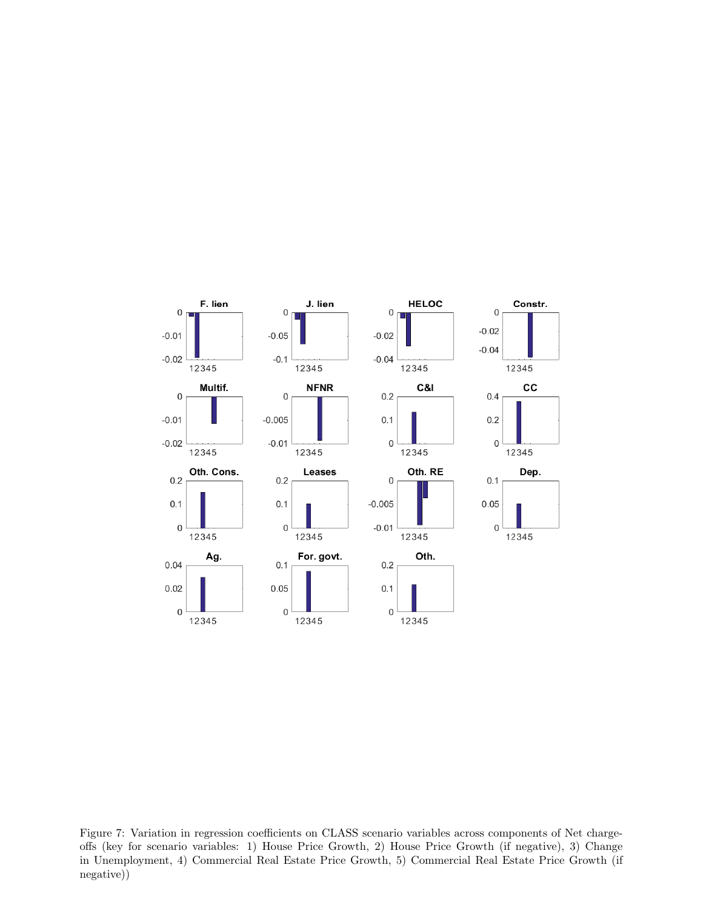

Figure 7: Variation in regression coefficients on CLASS scenario variables across components of Net chargeoffs (key for scenario variables: 1) House Price Growth, 2) House Price Growth (if negative), 3) Change in Unemployment, 4) Commercial Real Estate Price Growth, 5) Commercial Real Estate Price Growth (if negative))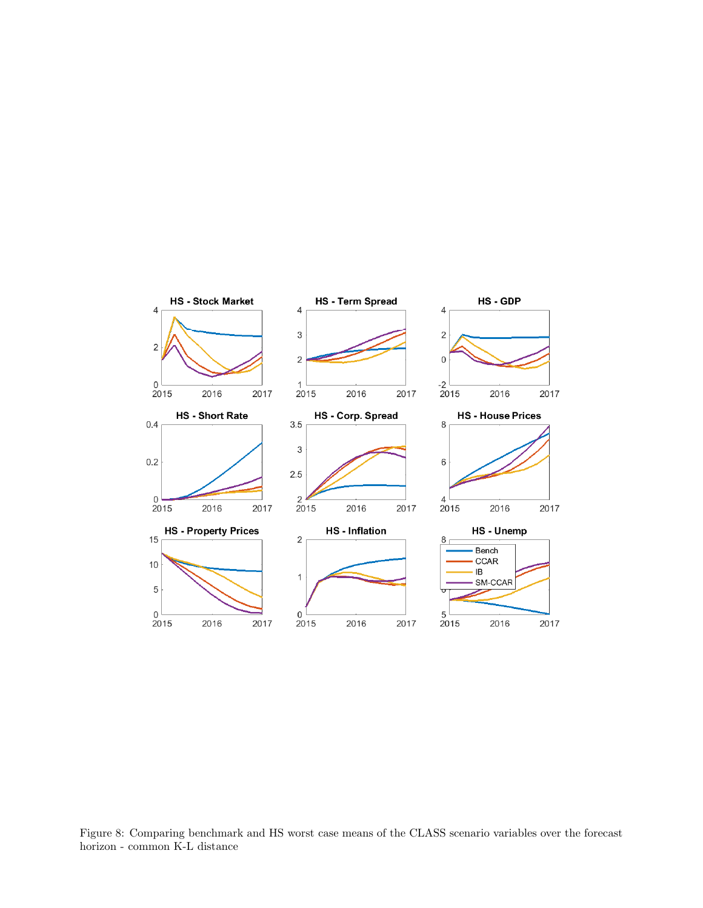

Figure 8: Comparing benchmark and HS worst case means of the CLASS scenario variables over the forecast horizon - common K-L distance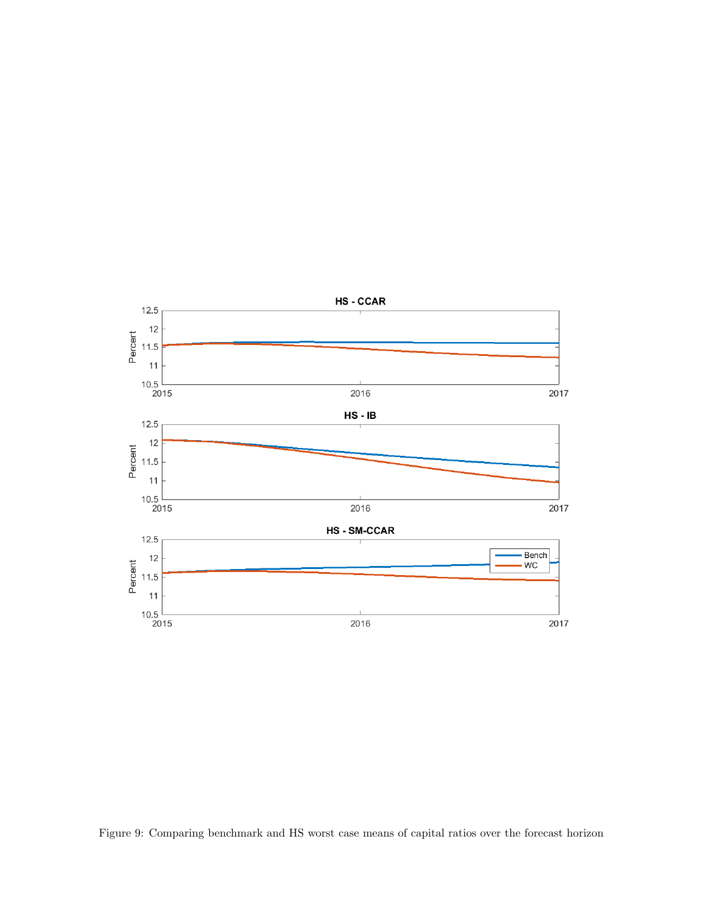

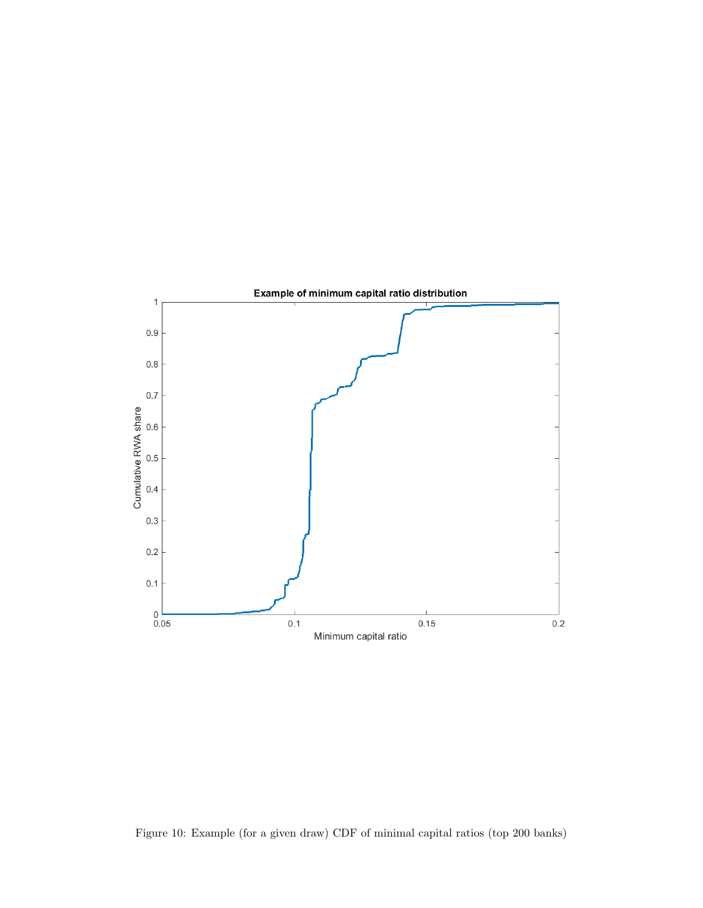

Figure 10: Example (for a given draw) CDF of minimal capital ratios (top 200 banks)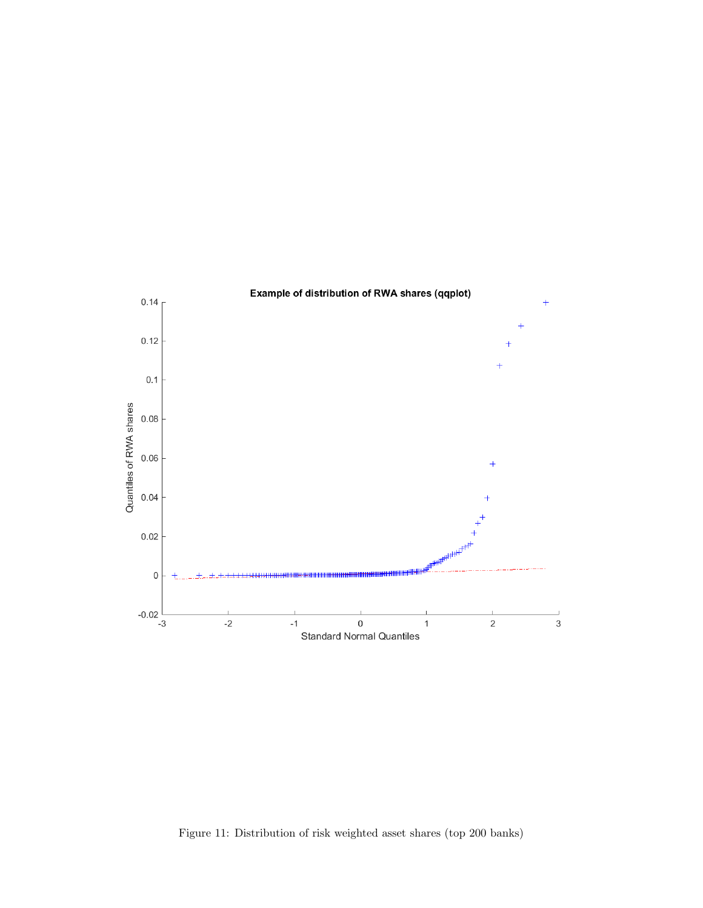

Figure 11: Distribution of risk weighted asset shares (top 200 banks)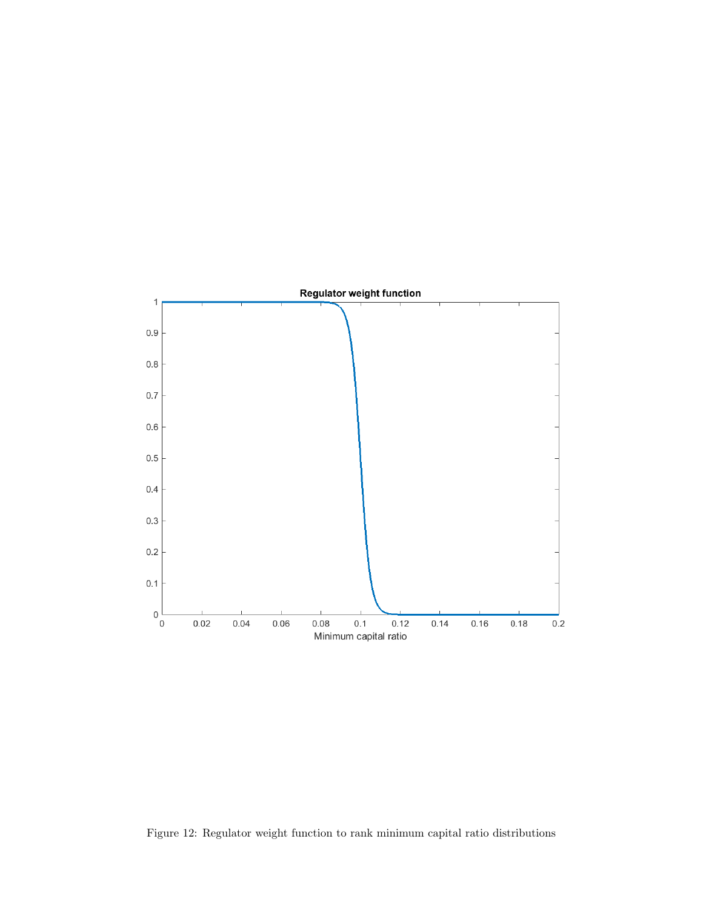

Figure 12: Regulator weight function to rank minimum capital ratio distributions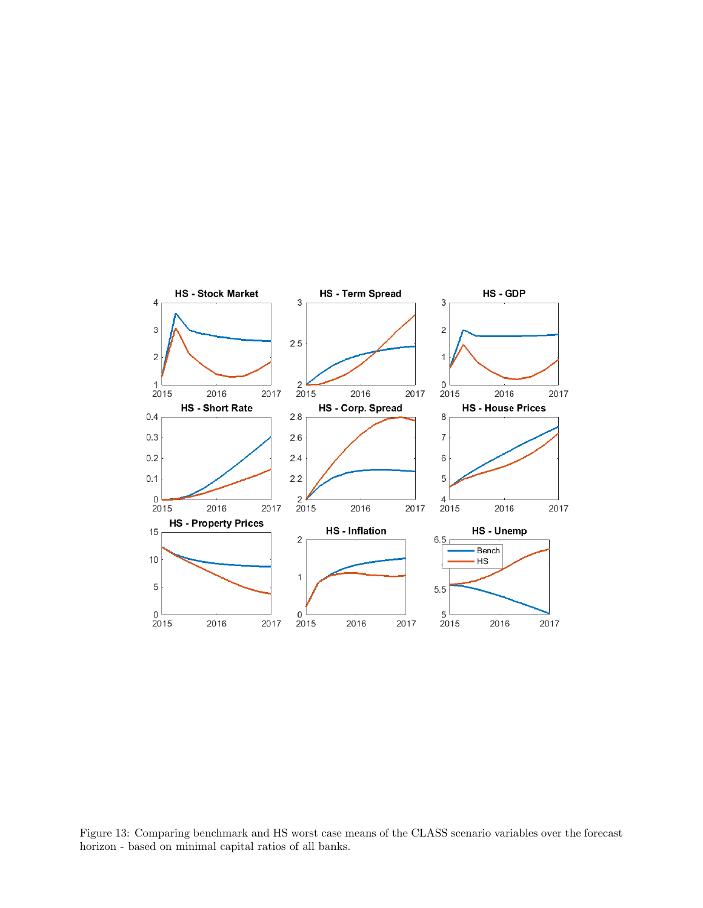![](_page_40_Figure_0.jpeg)

Figure 13: Comparing benchmark and HS worst case means of the CLASS scenario variables over the forecast horizon - based on minimal capital ratios of all banks.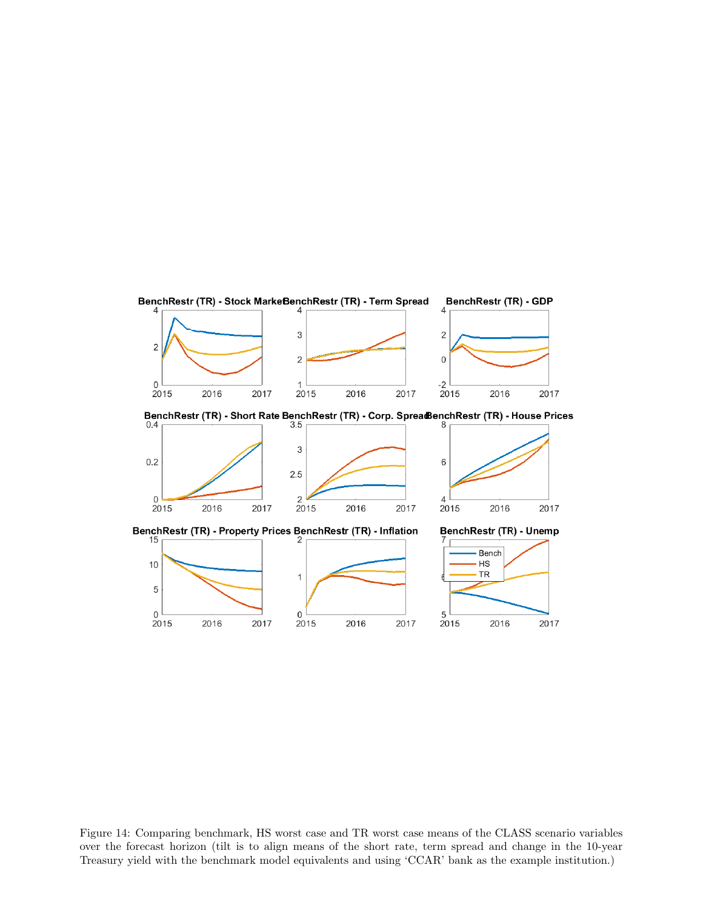![](_page_41_Figure_0.jpeg)

Figure 14: Comparing benchmark, HS worst case and TR worst case means of the CLASS scenario variables over the forecast horizon (tilt is to align means of the short rate, term spread and change in the 10-year Treasury yield with the benchmark model equivalents and using 'CCAR' bank as the example institution.)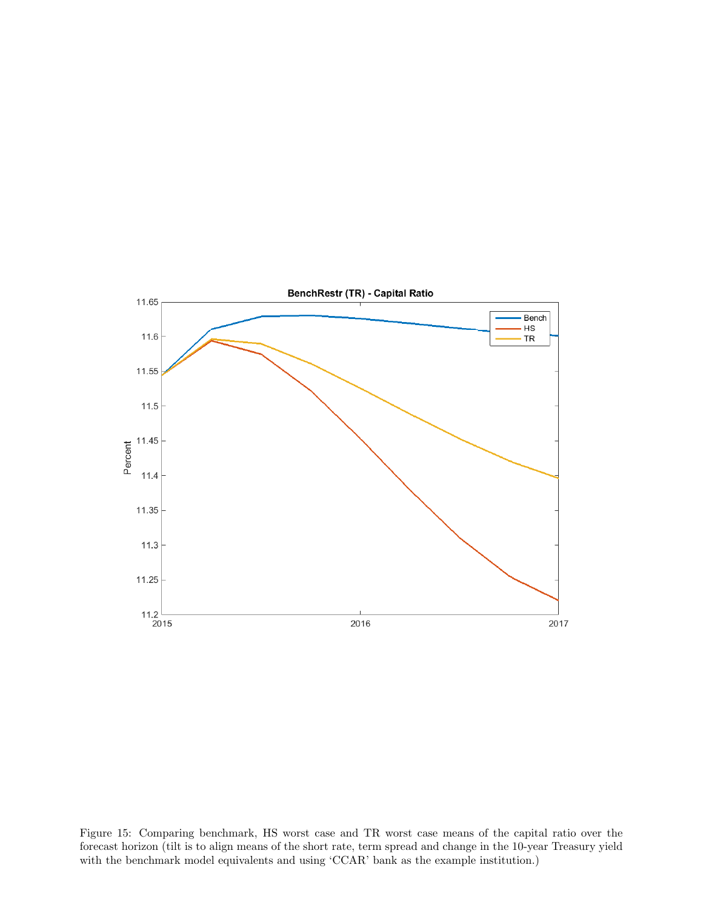![](_page_42_Figure_0.jpeg)

Figure 15: Comparing benchmark, HS worst case and TR worst case means of the capital ratio over the forecast horizon (tilt is to align means of the short rate, term spread and change in the 10-year Treasury yield with the benchmark model equivalents and using 'CCAR' bank as the example institution.)